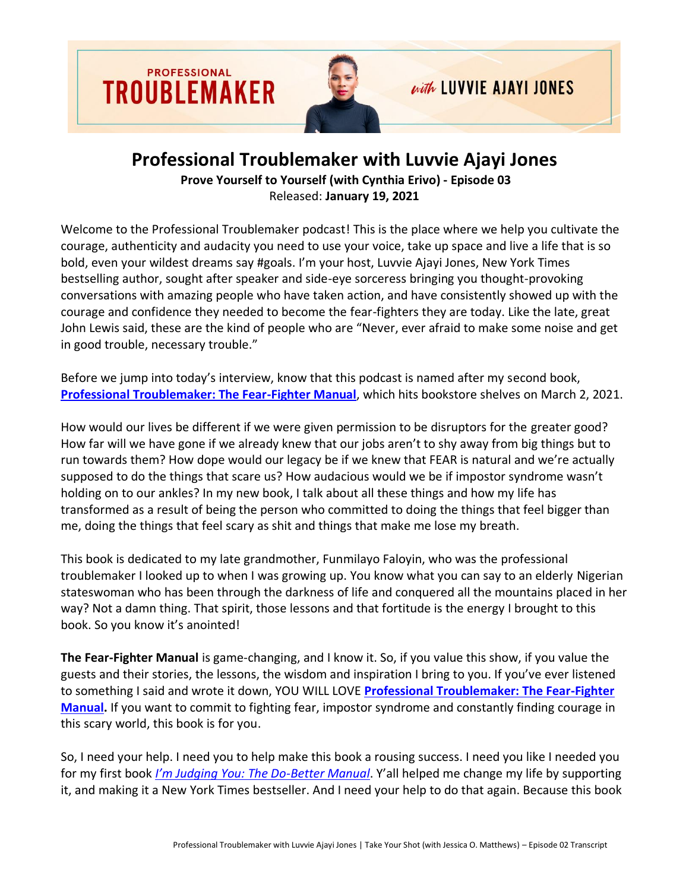

## **Professional Troublemaker with Luvvie Ajayi Jones**

**Prove Yourself to Yourself (with Cynthia Erivo) - Episode 03** Released: **January 19, 2021**

Welcome to the Professional Troublemaker podcast! This is the place where we help you cultivate the courage, authenticity and audacity you need to use your voice, take up space and live a life that is so bold, even your wildest dreams say #goals. I'm your host, Luvvie Ajayi Jones, New York Times bestselling author, sought after speaker and side-eye sorceress bringing you thought-provoking conversations with amazing people who have taken action, and have consistently showed up with the courage and confidence they needed to become the fear-fighters they are today. Like the late, great John Lewis said, these are the kind of people who are "Never, ever afraid to make some noise and get in good trouble, necessary trouble."

Before we jump into today's interview, know that this podcast is named after my second book, **[Professional Troublemaker: The Fear-Fighter Manual](http://professionaltroublemakerbook.com/)**, which hits bookstore shelves on March 2, 2021.

How would our lives be different if we were given permission to be disruptors for the greater good? How far will we have gone if we already knew that our jobs aren't to shy away from big things but to run towards them? How dope would our legacy be if we knew that FEAR is natural and we're actually supposed to do the things that scare us? How audacious would we be if impostor syndrome wasn't holding on to our ankles? In my new book, I talk about all these things and how my life has transformed as a result of being the person who committed to doing the things that feel bigger than me, doing the things that feel scary as shit and things that make me lose my breath.

This book is dedicated to my late grandmother, Funmilayo Faloyin, who was the professional troublemaker I looked up to when I was growing up. You know what you can say to an elderly Nigerian stateswoman who has been through the darkness of life and conquered all the mountains placed in her way? Not a damn thing. That spirit, those lessons and that fortitude is the energy I brought to this book. So you know it's anointed!

**The Fear-Fighter Manual** is game-changing, and I know it. So, if you value this show, if you value the guests and their stories, the lessons, the wisdom and inspiration I bring to you. If you've ever listened to something I said and wrote it down, YOU WILL LOVE **[Professional Troublemaker: The Fear-Fighter](http://professionaltroublemakerbook.com/)  [Manual.](http://professionaltroublemakerbook.com/)** If you want to commit to fighting fear, impostor syndrome and constantly finding courage in this scary world, this book is for you.

So, I need your help. I need you to help make this book a rousing success. I need you like I needed you for my first book *[I'm Judging You: The Do](https://amzn.to/3i8WHUP)-Better Manual*. Y'all helped me change my life by supporting it, and making it a New York Times bestseller. And I need your help to do that again. Because this book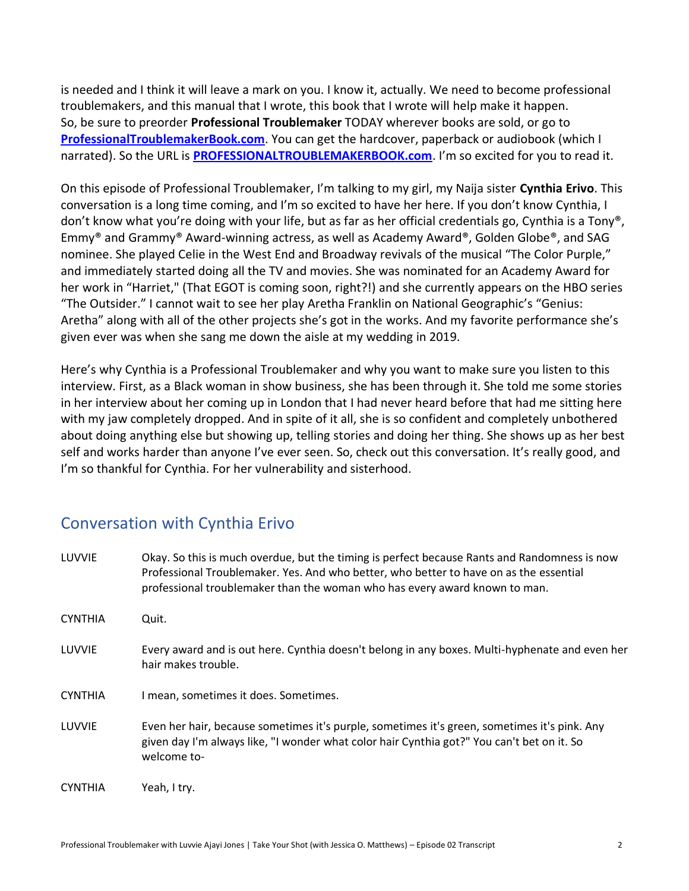is needed and I think it will leave a mark on you. I know it, actually. We need to become professional troublemakers, and this manual that I wrote, this book that I wrote will help make it happen. So, be sure to preorder **Professional Troublemaker** TODAY wherever books are sold, or go to **[ProfessionalTroublemakerBook.com](http://professionaltroublemakerbook.com/)**. You can get the hardcover, paperback or audiobook (which I narrated). So the URL is **[PROFESSIONALTROUBLEMAKERBOOK.com](http://professionaltroublemakerbook.com/)**. I'm so excited for you to read it.

On this episode of Professional Troublemaker, I'm talking to my girl, my Naija sister **Cynthia Erivo**. This conversation is a long time coming, and I'm so excited to have her here. If you don't know Cynthia, I don't know what you're doing with your life, but as far as her official credentials go, Cynthia is a Tony®, Emmy® and Grammy® Award-winning actress, as well as Academy Award®, Golden Globe®, and SAG nominee. She played Celie in the West End and Broadway revivals of the musical "The Color Purple," and immediately started doing all the TV and movies. She was nominated for an Academy Award for her work in "Harriet," (That EGOT is coming soon, right?!) and she currently appears on the HBO series "The Outsider." I cannot wait to see her play Aretha Franklin on National Geographic's "Genius: Aretha" along with all of the other projects she's got in the works. And my favorite performance she's given ever was when she sang me down the aisle at my wedding in 2019.

Here's why Cynthia is a Professional Troublemaker and why you want to make sure you listen to this interview. First, as a Black woman in show business, she has been through it. She told me some stories in her interview about her coming up in London that I had never heard before that had me sitting here with my jaw completely dropped. And in spite of it all, she is so confident and completely unbothered about doing anything else but showing up, telling stories and doing her thing. She shows up as her best self and works harder than anyone I've ever seen. So, check out this conversation. It's really good, and I'm so thankful for Cynthia. For her vulnerability and sisterhood.

## Conversation with Cynthia Erivo

| LUVVIE         | Okay. So this is much overdue, but the timing is perfect because Rants and Randomness is now<br>Professional Troublemaker. Yes. And who better, who better to have on as the essential<br>professional troublemaker than the woman who has every award known to man. |
|----------------|----------------------------------------------------------------------------------------------------------------------------------------------------------------------------------------------------------------------------------------------------------------------|
| <b>CYNTHIA</b> | Quit.                                                                                                                                                                                                                                                                |
| LUVVIE         | Every award and is out here. Cynthia doesn't belong in any boxes. Multi-hyphenate and even her<br>hair makes trouble.                                                                                                                                                |
| <b>CYNTHIA</b> | I mean, sometimes it does. Sometimes.                                                                                                                                                                                                                                |
| LUVVIE         | Even her hair, because sometimes it's purple, sometimes it's green, sometimes it's pink. Any<br>given day I'm always like, "I wonder what color hair Cynthia got?" You can't bet on it. So<br>welcome to-                                                            |
| <b>CYNTHIA</b> | Yeah, I try.                                                                                                                                                                                                                                                         |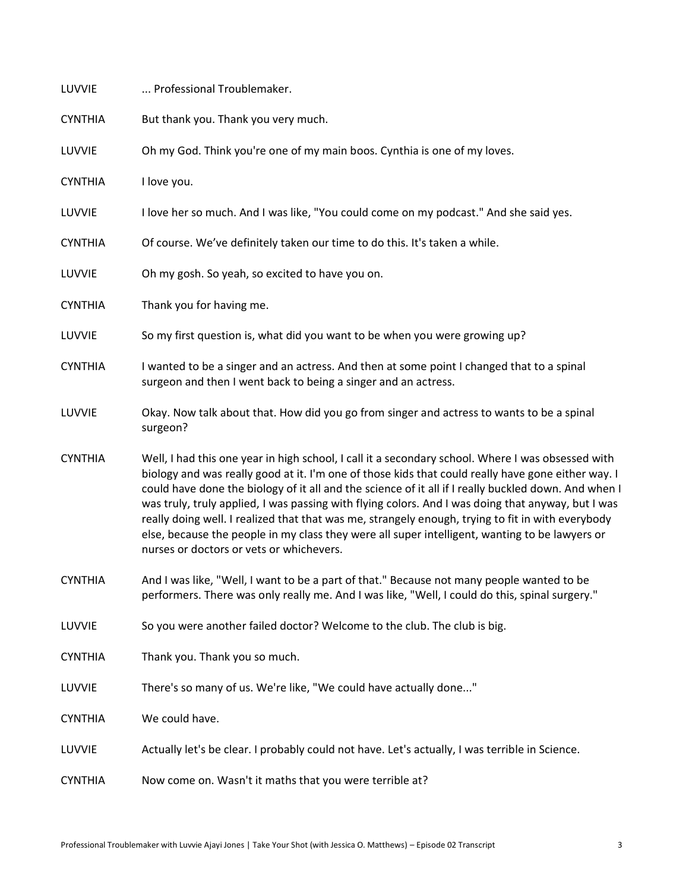| LUVVIE         | Professional Troublemaker.                                                                                                                                                                                                                                                                                                                                                                                                                                                                                                                                                                                                                                               |
|----------------|--------------------------------------------------------------------------------------------------------------------------------------------------------------------------------------------------------------------------------------------------------------------------------------------------------------------------------------------------------------------------------------------------------------------------------------------------------------------------------------------------------------------------------------------------------------------------------------------------------------------------------------------------------------------------|
| <b>CYNTHIA</b> | But thank you. Thank you very much.                                                                                                                                                                                                                                                                                                                                                                                                                                                                                                                                                                                                                                      |
| LUVVIE         | Oh my God. Think you're one of my main boos. Cynthia is one of my loves.                                                                                                                                                                                                                                                                                                                                                                                                                                                                                                                                                                                                 |
| <b>CYNTHIA</b> | I love you.                                                                                                                                                                                                                                                                                                                                                                                                                                                                                                                                                                                                                                                              |
| LUVVIE         | I love her so much. And I was like, "You could come on my podcast." And she said yes.                                                                                                                                                                                                                                                                                                                                                                                                                                                                                                                                                                                    |
| <b>CYNTHIA</b> | Of course. We've definitely taken our time to do this. It's taken a while.                                                                                                                                                                                                                                                                                                                                                                                                                                                                                                                                                                                               |
| LUVVIE         | Oh my gosh. So yeah, so excited to have you on.                                                                                                                                                                                                                                                                                                                                                                                                                                                                                                                                                                                                                          |
| <b>CYNTHIA</b> | Thank you for having me.                                                                                                                                                                                                                                                                                                                                                                                                                                                                                                                                                                                                                                                 |
| LUVVIE         | So my first question is, what did you want to be when you were growing up?                                                                                                                                                                                                                                                                                                                                                                                                                                                                                                                                                                                               |
| <b>CYNTHIA</b> | I wanted to be a singer and an actress. And then at some point I changed that to a spinal<br>surgeon and then I went back to being a singer and an actress.                                                                                                                                                                                                                                                                                                                                                                                                                                                                                                              |
| LUVVIE         | Okay. Now talk about that. How did you go from singer and actress to wants to be a spinal<br>surgeon?                                                                                                                                                                                                                                                                                                                                                                                                                                                                                                                                                                    |
| <b>CYNTHIA</b> | Well, I had this one year in high school, I call it a secondary school. Where I was obsessed with<br>biology and was really good at it. I'm one of those kids that could really have gone either way. I<br>could have done the biology of it all and the science of it all if I really buckled down. And when I<br>was truly, truly applied, I was passing with flying colors. And I was doing that anyway, but I was<br>really doing well. I realized that that was me, strangely enough, trying to fit in with everybody<br>else, because the people in my class they were all super intelligent, wanting to be lawyers or<br>nurses or doctors or vets or whichevers. |
| <b>CYNTHIA</b> | And I was like, "Well, I want to be a part of that." Because not many people wanted to be<br>performers. There was only really me. And I was like, "Well, I could do this, spinal surgery."                                                                                                                                                                                                                                                                                                                                                                                                                                                                              |
| LUVVIE         | So you were another failed doctor? Welcome to the club. The club is big.                                                                                                                                                                                                                                                                                                                                                                                                                                                                                                                                                                                                 |
| <b>CYNTHIA</b> | Thank you. Thank you so much.                                                                                                                                                                                                                                                                                                                                                                                                                                                                                                                                                                                                                                            |
| LUVVIE         | There's so many of us. We're like, "We could have actually done"                                                                                                                                                                                                                                                                                                                                                                                                                                                                                                                                                                                                         |
| <b>CYNTHIA</b> | We could have.                                                                                                                                                                                                                                                                                                                                                                                                                                                                                                                                                                                                                                                           |
| LUVVIE         | Actually let's be clear. I probably could not have. Let's actually, I was terrible in Science.                                                                                                                                                                                                                                                                                                                                                                                                                                                                                                                                                                           |
| <b>CYNTHIA</b> | Now come on. Wasn't it maths that you were terrible at?                                                                                                                                                                                                                                                                                                                                                                                                                                                                                                                                                                                                                  |
|                |                                                                                                                                                                                                                                                                                                                                                                                                                                                                                                                                                                                                                                                                          |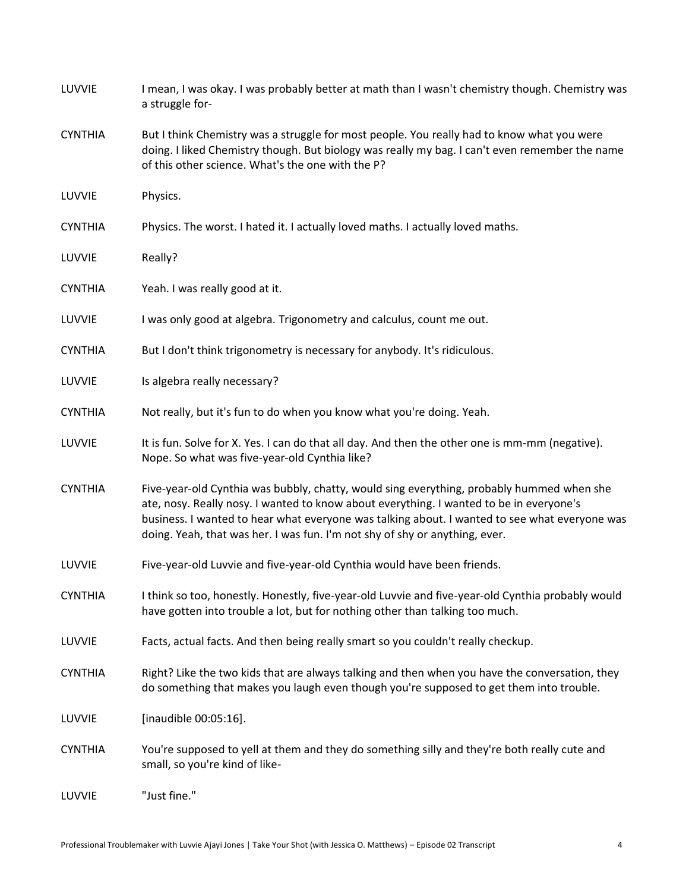| LUVVIE         | I mean, I was okay. I was probably better at math than I wasn't chemistry though. Chemistry was<br>a struggle for-                                                                                                                                                                                                                                                   |
|----------------|----------------------------------------------------------------------------------------------------------------------------------------------------------------------------------------------------------------------------------------------------------------------------------------------------------------------------------------------------------------------|
| <b>CYNTHIA</b> | But I think Chemistry was a struggle for most people. You really had to know what you were<br>doing. I liked Chemistry though. But biology was really my bag. I can't even remember the name<br>of this other science. What's the one with the P?                                                                                                                    |
| LUVVIE         | Physics.                                                                                                                                                                                                                                                                                                                                                             |
| <b>CYNTHIA</b> | Physics. The worst. I hated it. I actually loved maths. I actually loved maths.                                                                                                                                                                                                                                                                                      |
| LUVVIE         | Really?                                                                                                                                                                                                                                                                                                                                                              |
| <b>CYNTHIA</b> | Yeah. I was really good at it.                                                                                                                                                                                                                                                                                                                                       |
| LUVVIE         | I was only good at algebra. Trigonometry and calculus, count me out.                                                                                                                                                                                                                                                                                                 |
| <b>CYNTHIA</b> | But I don't think trigonometry is necessary for anybody. It's ridiculous.                                                                                                                                                                                                                                                                                            |
| LUVVIE         | Is algebra really necessary?                                                                                                                                                                                                                                                                                                                                         |
| <b>CYNTHIA</b> | Not really, but it's fun to do when you know what you're doing. Yeah.                                                                                                                                                                                                                                                                                                |
| LUVVIE         | It is fun. Solve for X. Yes. I can do that all day. And then the other one is mm-mm (negative).<br>Nope. So what was five-year-old Cynthia like?                                                                                                                                                                                                                     |
| <b>CYNTHIA</b> | Five-year-old Cynthia was bubbly, chatty, would sing everything, probably hummed when she<br>ate, nosy. Really nosy. I wanted to know about everything. I wanted to be in everyone's<br>business. I wanted to hear what everyone was talking about. I wanted to see what everyone was<br>doing. Yeah, that was her. I was fun. I'm not shy of shy or anything, ever. |
| LUVVIE         | Five-year-old Luvvie and five-year-old Cynthia would have been friends.                                                                                                                                                                                                                                                                                              |
| <b>CYNTHIA</b> | I think so too, honestly. Honestly, five-year-old Luvvie and five-year-old Cynthia probably would<br>have gotten into trouble a lot, but for nothing other than talking too much.                                                                                                                                                                                    |
| LUVVIE         | Facts, actual facts. And then being really smart so you couldn't really checkup.                                                                                                                                                                                                                                                                                     |
| <b>CYNTHIA</b> | Right? Like the two kids that are always talking and then when you have the conversation, they<br>do something that makes you laugh even though you're supposed to get them into trouble.                                                                                                                                                                            |
| LUVVIE         | [inaudible 00:05:16].                                                                                                                                                                                                                                                                                                                                                |
| <b>CYNTHIA</b> | You're supposed to yell at them and they do something silly and they're both really cute and<br>small, so you're kind of like-                                                                                                                                                                                                                                       |
| LUVVIE         | "Just fine."                                                                                                                                                                                                                                                                                                                                                         |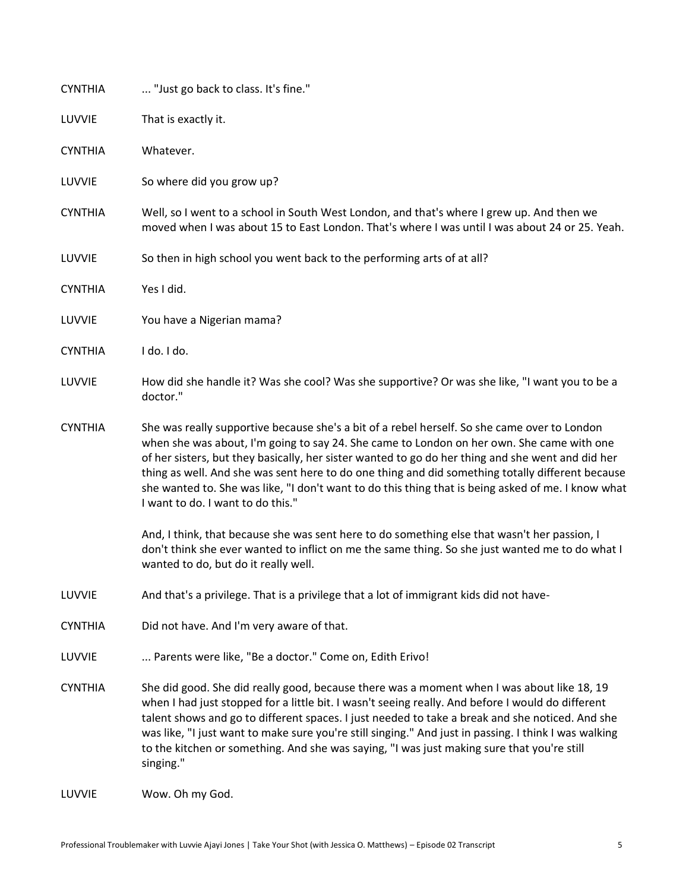| <b>CYNTHIA</b> | "Just go back to class. It's fine."                                                                                                                                                                                                                                                                                                                                                                                                                                                                                                           |
|----------------|-----------------------------------------------------------------------------------------------------------------------------------------------------------------------------------------------------------------------------------------------------------------------------------------------------------------------------------------------------------------------------------------------------------------------------------------------------------------------------------------------------------------------------------------------|
| LUVVIE         | That is exactly it.                                                                                                                                                                                                                                                                                                                                                                                                                                                                                                                           |
| <b>CYNTHIA</b> | Whatever.                                                                                                                                                                                                                                                                                                                                                                                                                                                                                                                                     |
| LUVVIE         | So where did you grow up?                                                                                                                                                                                                                                                                                                                                                                                                                                                                                                                     |
| <b>CYNTHIA</b> | Well, so I went to a school in South West London, and that's where I grew up. And then we<br>moved when I was about 15 to East London. That's where I was until I was about 24 or 25. Yeah.                                                                                                                                                                                                                                                                                                                                                   |
| LUVVIE         | So then in high school you went back to the performing arts of at all?                                                                                                                                                                                                                                                                                                                                                                                                                                                                        |
| <b>CYNTHIA</b> | Yes I did.                                                                                                                                                                                                                                                                                                                                                                                                                                                                                                                                    |
| LUVVIE         | You have a Nigerian mama?                                                                                                                                                                                                                                                                                                                                                                                                                                                                                                                     |
| <b>CYNTHIA</b> | I do. I do.                                                                                                                                                                                                                                                                                                                                                                                                                                                                                                                                   |
| LUVVIE         | How did she handle it? Was she cool? Was she supportive? Or was she like, "I want you to be a<br>doctor."                                                                                                                                                                                                                                                                                                                                                                                                                                     |
| <b>CYNTHIA</b> | She was really supportive because she's a bit of a rebel herself. So she came over to London<br>when she was about, I'm going to say 24. She came to London on her own. She came with one<br>of her sisters, but they basically, her sister wanted to go do her thing and she went and did her<br>thing as well. And she was sent here to do one thing and did something totally different because<br>she wanted to. She was like, "I don't want to do this thing that is being asked of me. I know what<br>I want to do. I want to do this." |
|                | And, I think, that because she was sent here to do something else that wasn't her passion, I<br>don't think she ever wanted to inflict on me the same thing. So she just wanted me to do what I<br>wanted to do, but do it really well.                                                                                                                                                                                                                                                                                                       |
| LUVVIE         | And that's a privilege. That is a privilege that a lot of immigrant kids did not have-                                                                                                                                                                                                                                                                                                                                                                                                                                                        |
| <b>CYNTHIA</b> | Did not have. And I'm very aware of that.                                                                                                                                                                                                                                                                                                                                                                                                                                                                                                     |
| LUVVIE         | Parents were like, "Be a doctor." Come on, Edith Erivo!                                                                                                                                                                                                                                                                                                                                                                                                                                                                                       |
| <b>CYNTHIA</b> | She did good. She did really good, because there was a moment when I was about like 18, 19<br>when I had just stopped for a little bit. I wasn't seeing really. And before I would do different<br>talent shows and go to different spaces. I just needed to take a break and she noticed. And she<br>was like, "I just want to make sure you're still singing." And just in passing. I think I was walking<br>to the kitchen or something. And she was saying, "I was just making sure that you're still<br>singing."                        |
| LUVVIE         | Wow. Oh my God.                                                                                                                                                                                                                                                                                                                                                                                                                                                                                                                               |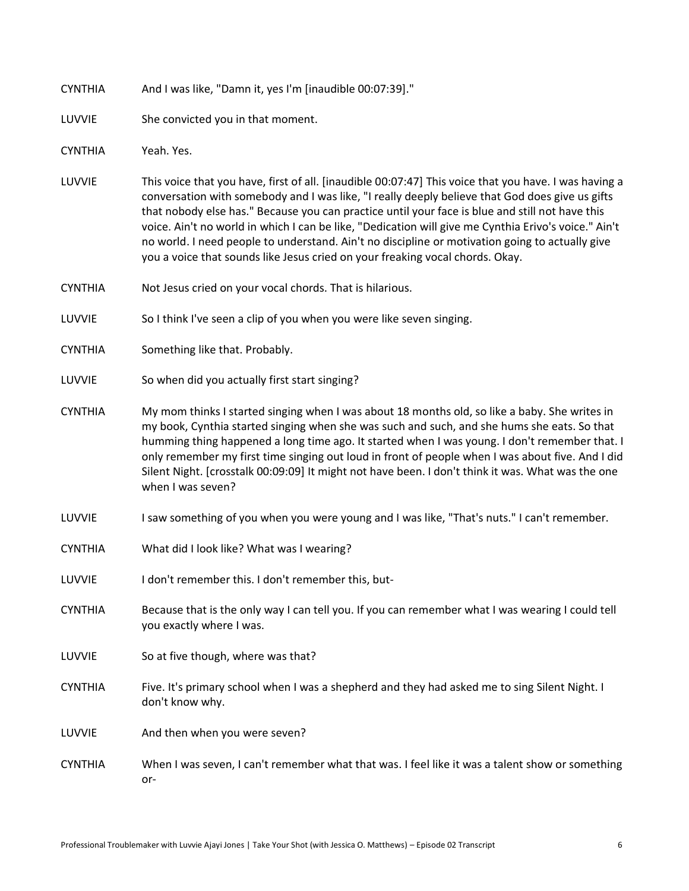| <b>CYNTHIA</b> | And I was like, "Damn it, yes I'm [inaudible 00:07:39]." |
|----------------|----------------------------------------------------------|
|----------------|----------------------------------------------------------|

LUVVIE She convicted you in that moment.

CYNTHIA Yeah. Yes.

- LUVVIE This voice that you have, first of all. [inaudible 00:07:47] This voice that you have. I was having a conversation with somebody and I was like, "I really deeply believe that God does give us gifts that nobody else has." Because you can practice until your face is blue and still not have this voice. Ain't no world in which I can be like, "Dedication will give me Cynthia Erivo's voice." Ain't no world. I need people to understand. Ain't no discipline or motivation going to actually give you a voice that sounds like Jesus cried on your freaking vocal chords. Okay.
- CYNTHIA Not Jesus cried on your vocal chords. That is hilarious.
- LUVVIE So I think I've seen a clip of you when you were like seven singing.
- CYNTHIA Something like that. Probably.
- LUVVIE So when did you actually first start singing?
- CYNTHIA My mom thinks I started singing when I was about 18 months old, so like a baby. She writes in my book, Cynthia started singing when she was such and such, and she hums she eats. So that humming thing happened a long time ago. It started when I was young. I don't remember that. I only remember my first time singing out loud in front of people when I was about five. And I did Silent Night. [crosstalk 00:09:09] It might not have been. I don't think it was. What was the one when I was seven?
- LUVVIE I saw something of you when you were young and I was like, "That's nuts." I can't remember.
- CYNTHIA What did I look like? What was I wearing?
- LUVVIE I don't remember this. I don't remember this, but-
- CYNTHIA Because that is the only way I can tell you. If you can remember what I was wearing I could tell you exactly where I was.
- LUVVIE So at five though, where was that?
- CYNTHIA Five. It's primary school when I was a shepherd and they had asked me to sing Silent Night. I don't know why.
- LUVVIE And then when you were seven?
- CYNTHIA When I was seven, I can't remember what that was. I feel like it was a talent show or something or-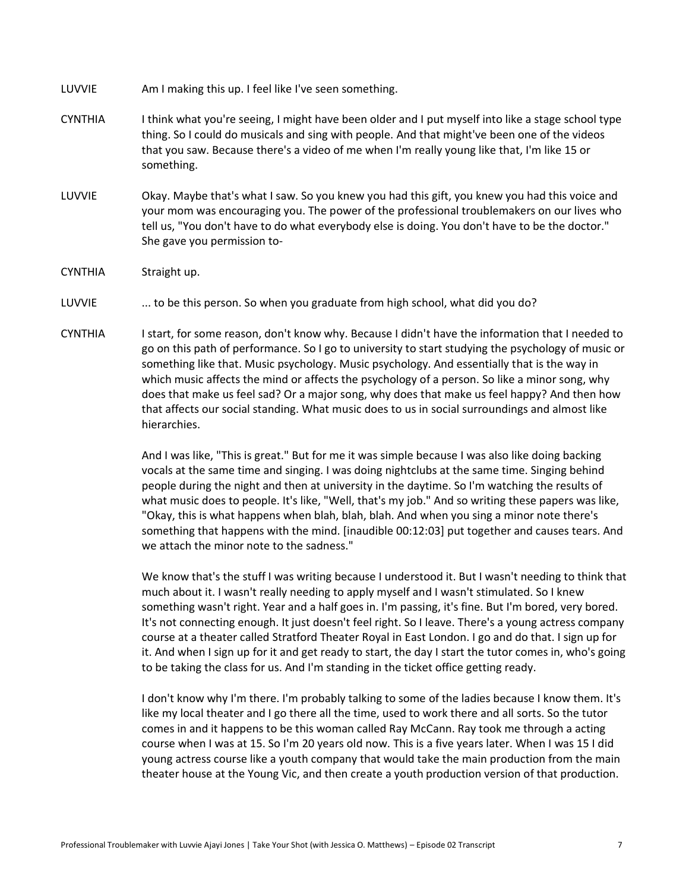LUVVIE Am I making this up. I feel like I've seen something.

- CYNTHIA I think what you're seeing, I might have been older and I put myself into like a stage school type thing. So I could do musicals and sing with people. And that might've been one of the videos that you saw. Because there's a video of me when I'm really young like that, I'm like 15 or something.
- LUVVIE Okay. Maybe that's what I saw. So you knew you had this gift, you knew you had this voice and your mom was encouraging you. The power of the professional troublemakers on our lives who tell us, "You don't have to do what everybody else is doing. You don't have to be the doctor." She gave you permission to-
- CYNTHIA Straight up.
- LUVVIE ... to be this person. So when you graduate from high school, what did you do?
- CYNTHIA I start, for some reason, don't know why. Because I didn't have the information that I needed to go on this path of performance. So I go to university to start studying the psychology of music or something like that. Music psychology. Music psychology. And essentially that is the way in which music affects the mind or affects the psychology of a person. So like a minor song, why does that make us feel sad? Or a major song, why does that make us feel happy? And then how that affects our social standing. What music does to us in social surroundings and almost like hierarchies.

And I was like, "This is great." But for me it was simple because I was also like doing backing vocals at the same time and singing. I was doing nightclubs at the same time. Singing behind people during the night and then at university in the daytime. So I'm watching the results of what music does to people. It's like, "Well, that's my job." And so writing these papers was like, "Okay, this is what happens when blah, blah, blah. And when you sing a minor note there's something that happens with the mind. [inaudible 00:12:03] put together and causes tears. And we attach the minor note to the sadness."

We know that's the stuff I was writing because I understood it. But I wasn't needing to think that much about it. I wasn't really needing to apply myself and I wasn't stimulated. So I knew something wasn't right. Year and a half goes in. I'm passing, it's fine. But I'm bored, very bored. It's not connecting enough. It just doesn't feel right. So I leave. There's a young actress company course at a theater called Stratford Theater Royal in East London. I go and do that. I sign up for it. And when I sign up for it and get ready to start, the day I start the tutor comes in, who's going to be taking the class for us. And I'm standing in the ticket office getting ready.

I don't know why I'm there. I'm probably talking to some of the ladies because I know them. It's like my local theater and I go there all the time, used to work there and all sorts. So the tutor comes in and it happens to be this woman called Ray McCann. Ray took me through a acting course when I was at 15. So I'm 20 years old now. This is a five years later. When I was 15 I did young actress course like a youth company that would take the main production from the main theater house at the Young Vic, and then create a youth production version of that production.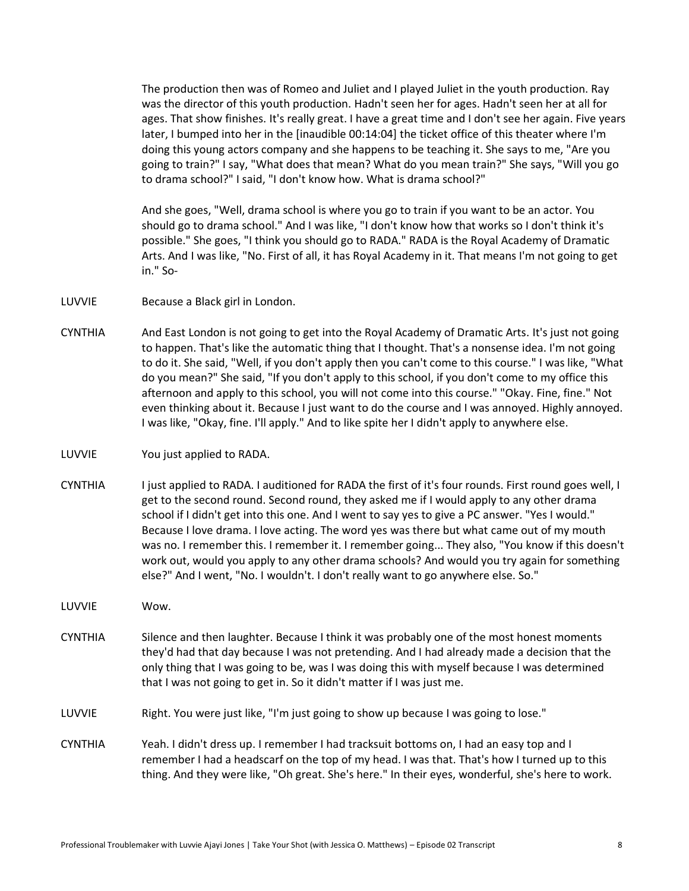The production then was of Romeo and Juliet and I played Juliet in the youth production. Ray was the director of this youth production. Hadn't seen her for ages. Hadn't seen her at all for ages. That show finishes. It's really great. I have a great time and I don't see her again. Five years later, I bumped into her in the [inaudible 00:14:04] the ticket office of this theater where I'm doing this young actors company and she happens to be teaching it. She says to me, "Are you going to train?" I say, "What does that mean? What do you mean train?" She says, "Will you go to drama school?" I said, "I don't know how. What is drama school?"

And she goes, "Well, drama school is where you go to train if you want to be an actor. You should go to drama school." And I was like, "I don't know how that works so I don't think it's possible." She goes, "I think you should go to RADA." RADA is the Royal Academy of Dramatic Arts. And I was like, "No. First of all, it has Royal Academy in it. That means I'm not going to get in." So-

LUVVIE Because a Black girl in London.

- CYNTHIA And East London is not going to get into the Royal Academy of Dramatic Arts. It's just not going to happen. That's like the automatic thing that I thought. That's a nonsense idea. I'm not going to do it. She said, "Well, if you don't apply then you can't come to this course." I was like, "What do you mean?" She said, "If you don't apply to this school, if you don't come to my office this afternoon and apply to this school, you will not come into this course." "Okay. Fine, fine." Not even thinking about it. Because I just want to do the course and I was annoyed. Highly annoyed. I was like, "Okay, fine. I'll apply." And to like spite her I didn't apply to anywhere else.
- LUVVIE You just applied to RADA.
- CYNTHIA I just applied to RADA. I auditioned for RADA the first of it's four rounds. First round goes well, I get to the second round. Second round, they asked me if I would apply to any other drama school if I didn't get into this one. And I went to say yes to give a PC answer. "Yes I would." Because I love drama. I love acting. The word yes was there but what came out of my mouth was no. I remember this. I remember it. I remember going... They also, "You know if this doesn't work out, would you apply to any other drama schools? And would you try again for something else?" And I went, "No. I wouldn't. I don't really want to go anywhere else. So."
- LUVVIE Wow.
- CYNTHIA Silence and then laughter. Because I think it was probably one of the most honest moments they'd had that day because I was not pretending. And I had already made a decision that the only thing that I was going to be, was I was doing this with myself because I was determined that I was not going to get in. So it didn't matter if I was just me.

LUVVIE Right. You were just like, "I'm just going to show up because I was going to lose."

CYNTHIA Yeah. I didn't dress up. I remember I had tracksuit bottoms on, I had an easy top and I remember I had a headscarf on the top of my head. I was that. That's how I turned up to this thing. And they were like, "Oh great. She's here." In their eyes, wonderful, she's here to work.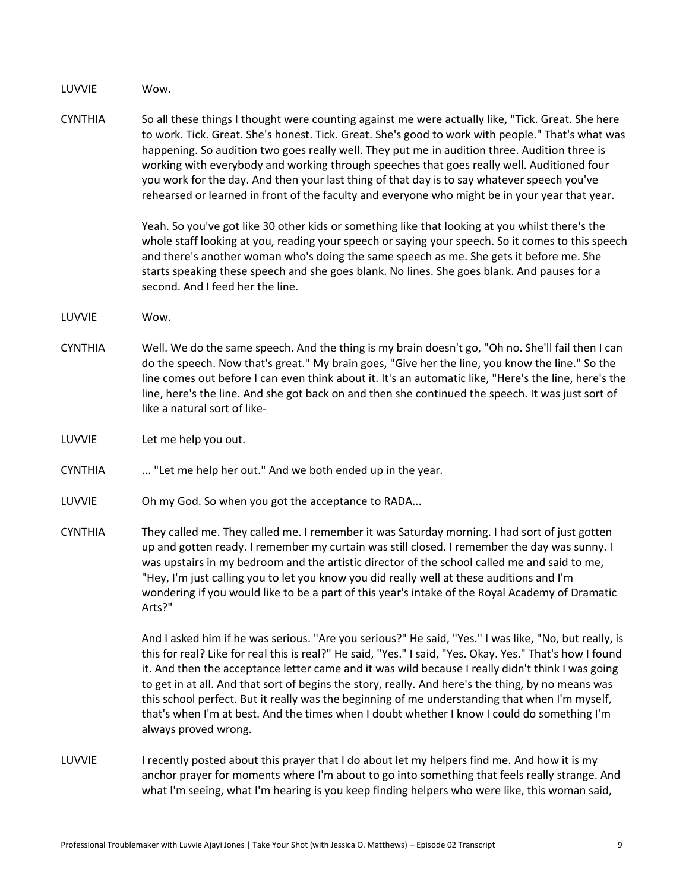LUVVIE Wow.

CYNTHIA So all these things I thought were counting against me were actually like, "Tick. Great. She here to work. Tick. Great. She's honest. Tick. Great. She's good to work with people." That's what was happening. So audition two goes really well. They put me in audition three. Audition three is working with everybody and working through speeches that goes really well. Auditioned four you work for the day. And then your last thing of that day is to say whatever speech you've rehearsed or learned in front of the faculty and everyone who might be in your year that year.

> Yeah. So you've got like 30 other kids or something like that looking at you whilst there's the whole staff looking at you, reading your speech or saying your speech. So it comes to this speech and there's another woman who's doing the same speech as me. She gets it before me. She starts speaking these speech and she goes blank. No lines. She goes blank. And pauses for a second. And I feed her the line.

- LUVVIE Wow.
- CYNTHIA Well. We do the same speech. And the thing is my brain doesn't go, "Oh no. She'll fail then I can do the speech. Now that's great." My brain goes, "Give her the line, you know the line." So the line comes out before I can even think about it. It's an automatic like, "Here's the line, here's the line, here's the line. And she got back on and then she continued the speech. It was just sort of like a natural sort of like-
- LUVVIE Let me help you out.
- CYNTHIA ... "Let me help her out." And we both ended up in the year.
- LUVVIE Oh my God. So when you got the acceptance to RADA...
- CYNTHIA They called me. They called me. I remember it was Saturday morning. I had sort of just gotten up and gotten ready. I remember my curtain was still closed. I remember the day was sunny. I was upstairs in my bedroom and the artistic director of the school called me and said to me, "Hey, I'm just calling you to let you know you did really well at these auditions and I'm wondering if you would like to be a part of this year's intake of the Royal Academy of Dramatic Arts?"

And I asked him if he was serious. "Are you serious?" He said, "Yes." I was like, "No, but really, is this for real? Like for real this is real?" He said, "Yes." I said, "Yes. Okay. Yes." That's how I found it. And then the acceptance letter came and it was wild because I really didn't think I was going to get in at all. And that sort of begins the story, really. And here's the thing, by no means was this school perfect. But it really was the beginning of me understanding that when I'm myself, that's when I'm at best. And the times when I doubt whether I know I could do something I'm always proved wrong.

LUVVIE I recently posted about this prayer that I do about let my helpers find me. And how it is my anchor prayer for moments where I'm about to go into something that feels really strange. And what I'm seeing, what I'm hearing is you keep finding helpers who were like, this woman said,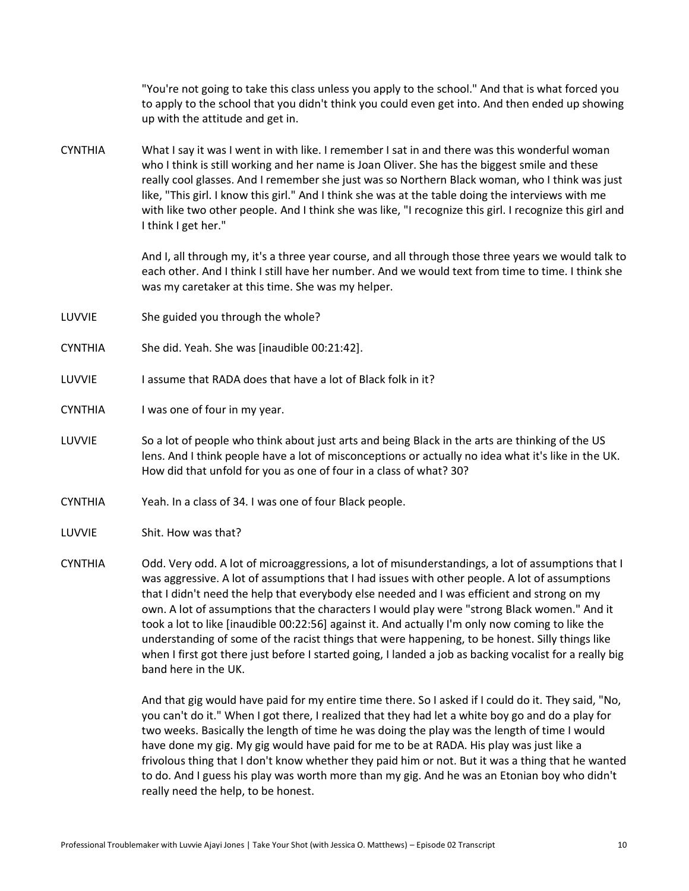"You're not going to take this class unless you apply to the school." And that is what forced you to apply to the school that you didn't think you could even get into. And then ended up showing up with the attitude and get in.

CYNTHIA What I say it was I went in with like. I remember I sat in and there was this wonderful woman who I think is still working and her name is Joan Oliver. She has the biggest smile and these really cool glasses. And I remember she just was so Northern Black woman, who I think was just like, "This girl. I know this girl." And I think she was at the table doing the interviews with me with like two other people. And I think she was like, "I recognize this girl. I recognize this girl and I think I get her."

> And I, all through my, it's a three year course, and all through those three years we would talk to each other. And I think I still have her number. And we would text from time to time. I think she was my caretaker at this time. She was my helper.

- LUVVIE She guided you through the whole?
- CYNTHIA She did. Yeah. She was [inaudible 00:21:42].
- LUVVIE I assume that RADA does that have a lot of Black folk in it?
- CYNTHIA I was one of four in my year.
- LUVVIE So a lot of people who think about just arts and being Black in the arts are thinking of the US lens. And I think people have a lot of misconceptions or actually no idea what it's like in the UK. How did that unfold for you as one of four in a class of what? 30?
- CYNTHIA Yeah. In a class of 34. I was one of four Black people.
- LUVVIE Shit. How was that?
- CYNTHIA Odd. Very odd. A lot of microaggressions, a lot of misunderstandings, a lot of assumptions that I was aggressive. A lot of assumptions that I had issues with other people. A lot of assumptions that I didn't need the help that everybody else needed and I was efficient and strong on my own. A lot of assumptions that the characters I would play were "strong Black women." And it took a lot to like [inaudible 00:22:56] against it. And actually I'm only now coming to like the understanding of some of the racist things that were happening, to be honest. Silly things like when I first got there just before I started going, I landed a job as backing vocalist for a really big band here in the UK.

And that gig would have paid for my entire time there. So I asked if I could do it. They said, "No, you can't do it." When I got there, I realized that they had let a white boy go and do a play for two weeks. Basically the length of time he was doing the play was the length of time I would have done my gig. My gig would have paid for me to be at RADA. His play was just like a frivolous thing that I don't know whether they paid him or not. But it was a thing that he wanted to do. And I guess his play was worth more than my gig. And he was an Etonian boy who didn't really need the help, to be honest.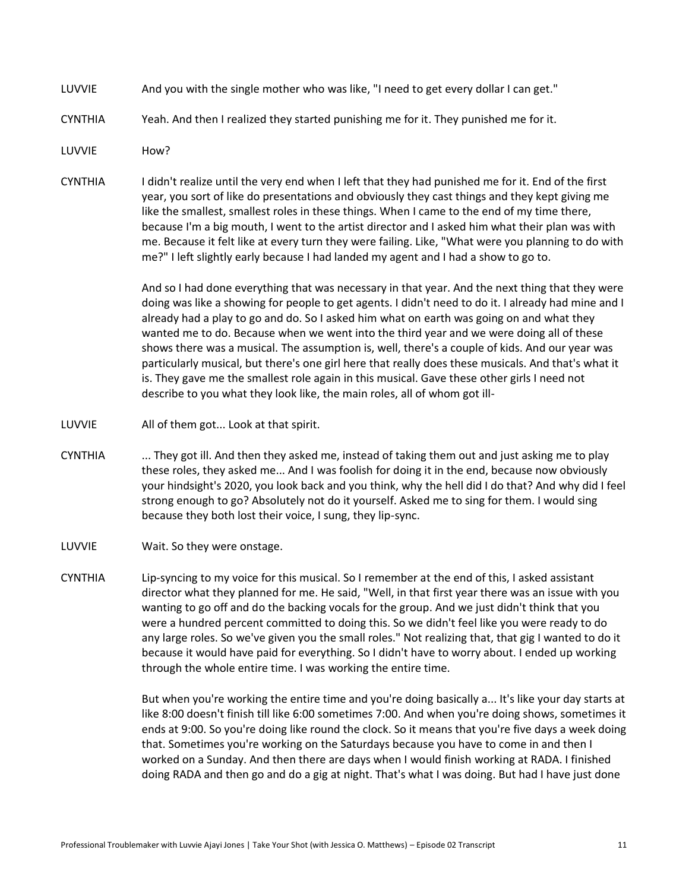- LUVVIE And you with the single mother who was like, "I need to get every dollar I can get."
- CYNTHIA Yeah. And then I realized they started punishing me for it. They punished me for it.

LUVVIE How?

CYNTHIA I didn't realize until the very end when I left that they had punished me for it. End of the first year, you sort of like do presentations and obviously they cast things and they kept giving me like the smallest, smallest roles in these things. When I came to the end of my time there, because I'm a big mouth, I went to the artist director and I asked him what their plan was with me. Because it felt like at every turn they were failing. Like, "What were you planning to do with me?" I left slightly early because I had landed my agent and I had a show to go to.

> And so I had done everything that was necessary in that year. And the next thing that they were doing was like a showing for people to get agents. I didn't need to do it. I already had mine and I already had a play to go and do. So I asked him what on earth was going on and what they wanted me to do. Because when we went into the third year and we were doing all of these shows there was a musical. The assumption is, well, there's a couple of kids. And our year was particularly musical, but there's one girl here that really does these musicals. And that's what it is. They gave me the smallest role again in this musical. Gave these other girls I need not describe to you what they look like, the main roles, all of whom got ill-

- LUVVIE All of them got... Look at that spirit.
- CYNTHIA ... They got ill. And then they asked me, instead of taking them out and just asking me to play these roles, they asked me... And I was foolish for doing it in the end, because now obviously your hindsight's 2020, you look back and you think, why the hell did I do that? And why did I feel strong enough to go? Absolutely not do it yourself. Asked me to sing for them. I would sing because they both lost their voice, I sung, they lip-sync.
- LUVVIE Wait. So they were onstage.
- CYNTHIA Lip-syncing to my voice for this musical. So I remember at the end of this, I asked assistant director what they planned for me. He said, "Well, in that first year there was an issue with you wanting to go off and do the backing vocals for the group. And we just didn't think that you were a hundred percent committed to doing this. So we didn't feel like you were ready to do any large roles. So we've given you the small roles." Not realizing that, that gig I wanted to do it because it would have paid for everything. So I didn't have to worry about. I ended up working through the whole entire time. I was working the entire time.

But when you're working the entire time and you're doing basically a... It's like your day starts at like 8:00 doesn't finish till like 6:00 sometimes 7:00. And when you're doing shows, sometimes it ends at 9:00. So you're doing like round the clock. So it means that you're five days a week doing that. Sometimes you're working on the Saturdays because you have to come in and then I worked on a Sunday. And then there are days when I would finish working at RADA. I finished doing RADA and then go and do a gig at night. That's what I was doing. But had I have just done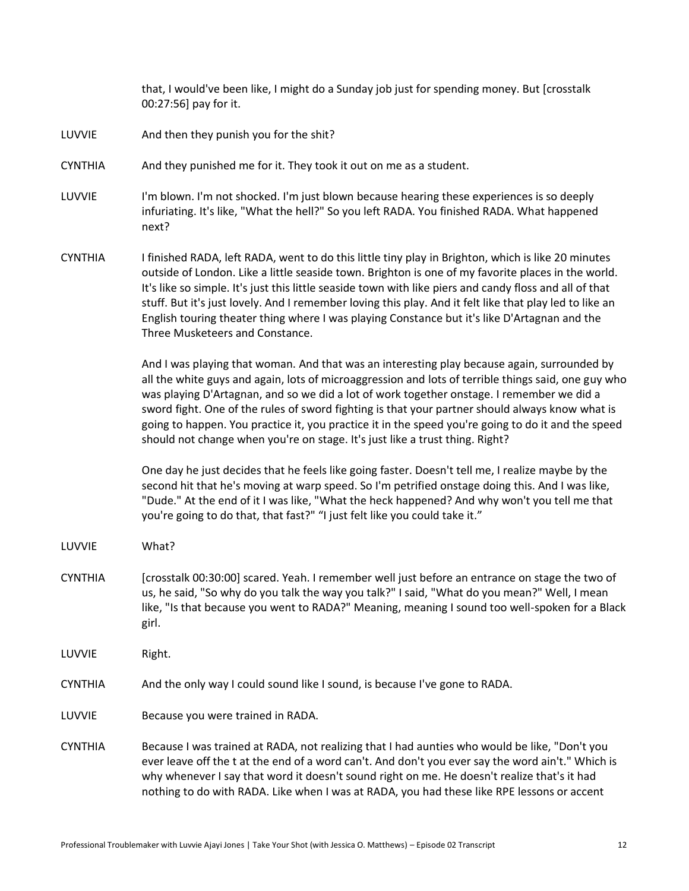that, I would've been like, I might do a Sunday job just for spending money. But [crosstalk 00:27:56] pay for it.

- LUVVIE And then they punish you for the shit?
- CYNTHIA And they punished me for it. They took it out on me as a student.
- LUVVIE I'm blown. I'm not shocked. I'm just blown because hearing these experiences is so deeply infuriating. It's like, "What the hell?" So you left RADA. You finished RADA. What happened next?
- CYNTHIA I finished RADA, left RADA, went to do this little tiny play in Brighton, which is like 20 minutes outside of London. Like a little seaside town. Brighton is one of my favorite places in the world. It's like so simple. It's just this little seaside town with like piers and candy floss and all of that stuff. But it's just lovely. And I remember loving this play. And it felt like that play led to like an English touring theater thing where I was playing Constance but it's like D'Artagnan and the Three Musketeers and Constance.

And I was playing that woman. And that was an interesting play because again, surrounded by all the white guys and again, lots of microaggression and lots of terrible things said, one guy who was playing D'Artagnan, and so we did a lot of work together onstage. I remember we did a sword fight. One of the rules of sword fighting is that your partner should always know what is going to happen. You practice it, you practice it in the speed you're going to do it and the speed should not change when you're on stage. It's just like a trust thing. Right?

One day he just decides that he feels like going faster. Doesn't tell me, I realize maybe by the second hit that he's moving at warp speed. So I'm petrified onstage doing this. And I was like, "Dude." At the end of it I was like, "What the heck happened? And why won't you tell me that you're going to do that, that fast?" "I just felt like you could take it."

- LUVVIE What?
- CYNTHIA [crosstalk 00:30:00] scared. Yeah. I remember well just before an entrance on stage the two of us, he said, "So why do you talk the way you talk?" I said, "What do you mean?" Well, I mean like, "Is that because you went to RADA?" Meaning, meaning I sound too well-spoken for a Black girl.
- LUVVIE Right.
- CYNTHIA And the only way I could sound like I sound, is because I've gone to RADA.
- LUVVIE Because you were trained in RADA.
- CYNTHIA Because I was trained at RADA, not realizing that I had aunties who would be like, "Don't you ever leave off the t at the end of a word can't. And don't you ever say the word ain't." Which is why whenever I say that word it doesn't sound right on me. He doesn't realize that's it had nothing to do with RADA. Like when I was at RADA, you had these like RPE lessons or accent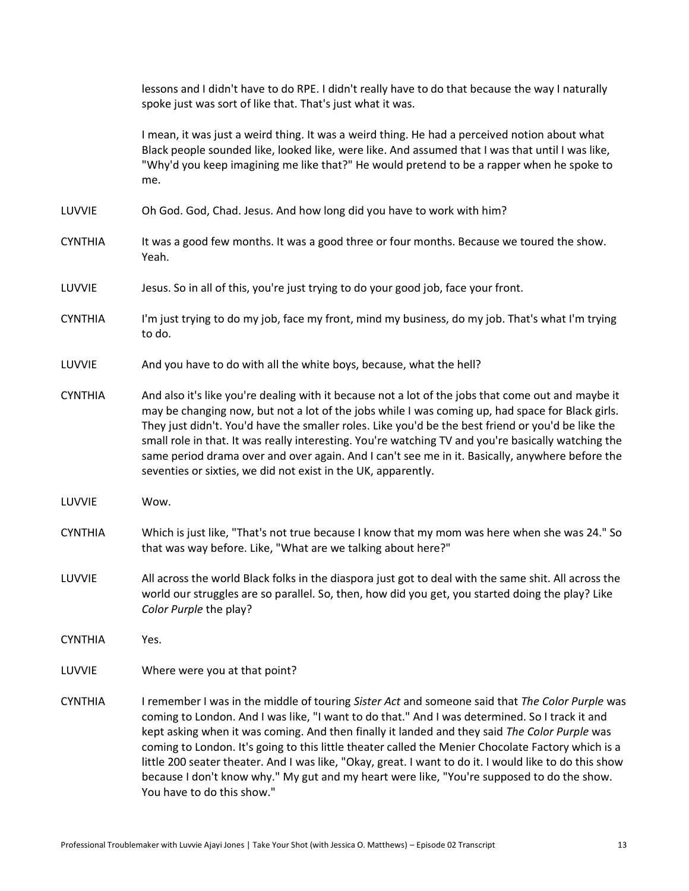lessons and I didn't have to do RPE. I didn't really have to do that because the way I naturally spoke just was sort of like that. That's just what it was.

I mean, it was just a weird thing. It was a weird thing. He had a perceived notion about what Black people sounded like, looked like, were like. And assumed that I was that until I was like, "Why'd you keep imagining me like that?" He would pretend to be a rapper when he spoke to me.

- LUVVIE Oh God. God, Chad. Jesus. And how long did you have to work with him?
- CYNTHIA It was a good few months. It was a good three or four months. Because we toured the show. Yeah.
- LUVVIE Jesus. So in all of this, you're just trying to do your good job, face your front.
- CYNTHIA I'm just trying to do my job, face my front, mind my business, do my job. That's what I'm trying to do.
- LUVVIE And you have to do with all the white boys, because, what the hell?
- CYNTHIA And also it's like you're dealing with it because not a lot of the jobs that come out and maybe it may be changing now, but not a lot of the jobs while I was coming up, had space for Black girls. They just didn't. You'd have the smaller roles. Like you'd be the best friend or you'd be like the small role in that. It was really interesting. You're watching TV and you're basically watching the same period drama over and over again. And I can't see me in it. Basically, anywhere before the seventies or sixties, we did not exist in the UK, apparently.
- LUVVIE Wow.
- CYNTHIA Which is just like, "That's not true because I know that my mom was here when she was 24." So that was way before. Like, "What are we talking about here?"
- LUVVIE All across the world Black folks in the diaspora just got to deal with the same shit. All across the world our struggles are so parallel. So, then, how did you get, you started doing the play? Like *Color Purple* the play?
- CYNTHIA Yes.
- LUVVIE Where were you at that point?
- CYNTHIA I remember I was in the middle of touring *Sister Act* and someone said that *The Color Purple* was coming to London. And I was like, "I want to do that." And I was determined. So I track it and kept asking when it was coming. And then finally it landed and they said *The Color Purple* was coming to London. It's going to this little theater called the Menier Chocolate Factory which is a little 200 seater theater. And I was like, "Okay, great. I want to do it. I would like to do this show because I don't know why." My gut and my heart were like, "You're supposed to do the show. You have to do this show."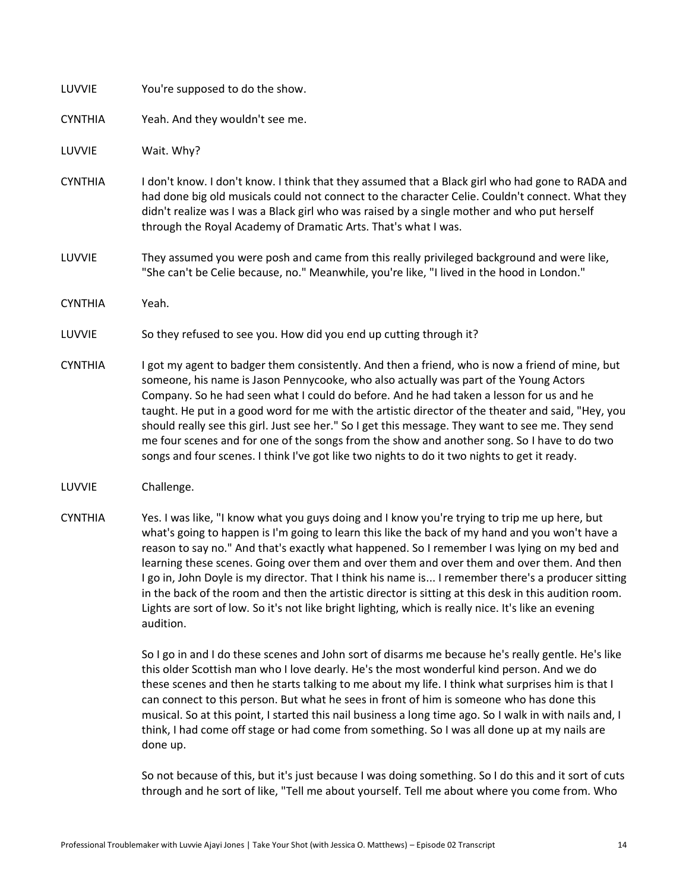| LUVVIE         | You're supposed to do the show.                                                                                                                                                                                                                                                                                                                                                                                                                                                                                                                                                               |
|----------------|-----------------------------------------------------------------------------------------------------------------------------------------------------------------------------------------------------------------------------------------------------------------------------------------------------------------------------------------------------------------------------------------------------------------------------------------------------------------------------------------------------------------------------------------------------------------------------------------------|
| <b>CYNTHIA</b> | Yeah. And they wouldn't see me.                                                                                                                                                                                                                                                                                                                                                                                                                                                                                                                                                               |
| LUVVIE         | Wait. Why?                                                                                                                                                                                                                                                                                                                                                                                                                                                                                                                                                                                    |
| <b>CYNTHIA</b> | I don't know. I don't know. I think that they assumed that a Black girl who had gone to RADA and<br>had done big old musicals could not connect to the character Celie. Couldn't connect. What they<br>didn't realize was I was a Black girl who was raised by a single mother and who put herself<br>through the Royal Academy of Dramatic Arts. That's what I was.                                                                                                                                                                                                                          |
| LUVVIE         | They assumed you were posh and came from this really privileged background and were like,<br>"She can't be Celie because, no." Meanwhile, you're like, "I lived in the hood in London."                                                                                                                                                                                                                                                                                                                                                                                                       |
| <b>CYNTHIA</b> | Yeah.                                                                                                                                                                                                                                                                                                                                                                                                                                                                                                                                                                                         |
| LUVVIE         | So they refused to see you. How did you end up cutting through it?                                                                                                                                                                                                                                                                                                                                                                                                                                                                                                                            |
| <b>CYNTHIA</b> | I got my agent to badger them consistently. And then a friend, who is now a friend of mine, but<br>someone, his name is Jason Pennycooke, who also actually was part of the Young Actors<br>Company. So he had seen what I could do before. And he had taken a lesson for us and he<br>taught. He put in a good word for me with the artistic director of the theater and said, "Hey, you<br>should really see this girl. Just see her." So I get this message. They want to see me. They send<br>me four scenes and for one of the songs from the show and another song. So I have to do two |

- LUVVIE Challenge.
- CYNTHIA Yes. I was like, "I know what you guys doing and I know you're trying to trip me up here, but what's going to happen is I'm going to learn this like the back of my hand and you won't have a reason to say no." And that's exactly what happened. So I remember I was lying on my bed and learning these scenes. Going over them and over them and over them and over them. And then I go in, John Doyle is my director. That I think his name is... I remember there's a producer sitting in the back of the room and then the artistic director is sitting at this desk in this audition room. Lights are sort of low. So it's not like bright lighting, which is really nice. It's like an evening audition.

songs and four scenes. I think I've got like two nights to do it two nights to get it ready.

So I go in and I do these scenes and John sort of disarms me because he's really gentle. He's like this older Scottish man who I love dearly. He's the most wonderful kind person. And we do these scenes and then he starts talking to me about my life. I think what surprises him is that I can connect to this person. But what he sees in front of him is someone who has done this musical. So at this point, I started this nail business a long time ago. So I walk in with nails and, I think, I had come off stage or had come from something. So I was all done up at my nails are done up.

So not because of this, but it's just because I was doing something. So I do this and it sort of cuts through and he sort of like, "Tell me about yourself. Tell me about where you come from. Who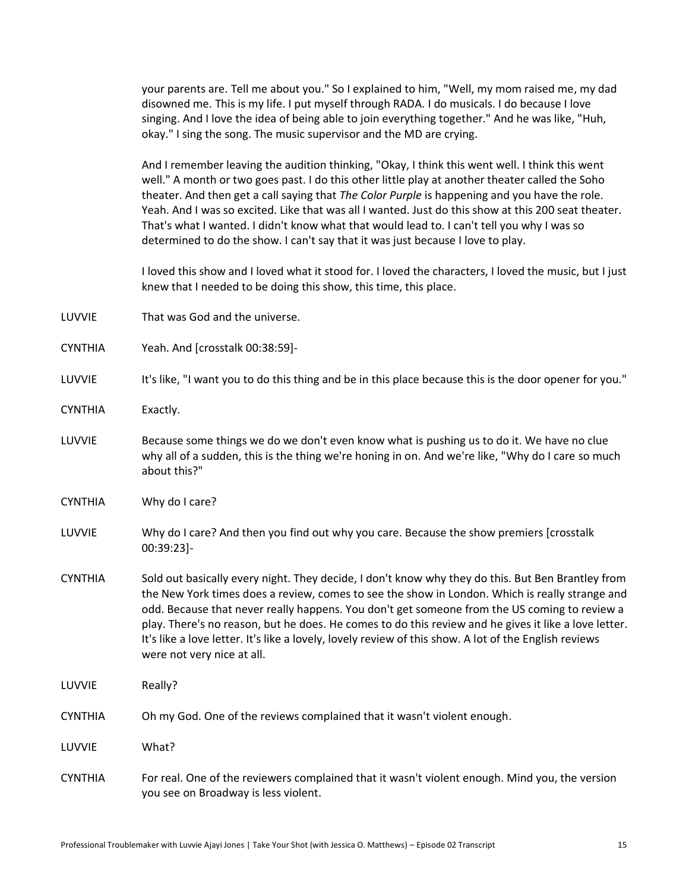your parents are. Tell me about you." So I explained to him, "Well, my mom raised me, my dad disowned me. This is my life. I put myself through RADA. I do musicals. I do because I love singing. And I love the idea of being able to join everything together." And he was like, "Huh, okay." I sing the song. The music supervisor and the MD are crying.

And I remember leaving the audition thinking, "Okay, I think this went well. I think this went well." A month or two goes past. I do this other little play at another theater called the Soho theater. And then get a call saying that *The Color Purple* is happening and you have the role. Yeah. And I was so excited. Like that was all I wanted. Just do this show at this 200 seat theater. That's what I wanted. I didn't know what that would lead to. I can't tell you why I was so determined to do the show. I can't say that it was just because I love to play.

I loved this show and I loved what it stood for. I loved the characters, I loved the music, but I just knew that I needed to be doing this show, this time, this place.

- LUVVIE That was God and the universe.
- CYNTHIA Yeah. And [crosstalk 00:38:59]-
- LUVVIE It's like, "I want you to do this thing and be in this place because this is the door opener for you."
- CYNTHIA Exactly.
- LUVVIE Because some things we do we don't even know what is pushing us to do it. We have no clue why all of a sudden, this is the thing we're honing in on. And we're like, "Why do I care so much about this?"
- CYNTHIA Why do I care?
- LUVVIE Why do I care? And then you find out why you care. Because the show premiers [crosstalk 00:39:23]-
- CYNTHIA Sold out basically every night. They decide, I don't know why they do this. But Ben Brantley from the New York times does a review, comes to see the show in London. Which is really strange and odd. Because that never really happens. You don't get someone from the US coming to review a play. There's no reason, but he does. He comes to do this review and he gives it like a love letter. It's like a love letter. It's like a lovely, lovely review of this show. A lot of the English reviews were not very nice at all.
- LUVVIE Really?
- CYNTHIA Oh my God. One of the reviews complained that it wasn't violent enough.
- LUVVIE What?
- CYNTHIA For real. One of the reviewers complained that it wasn't violent enough. Mind you, the version you see on Broadway is less violent.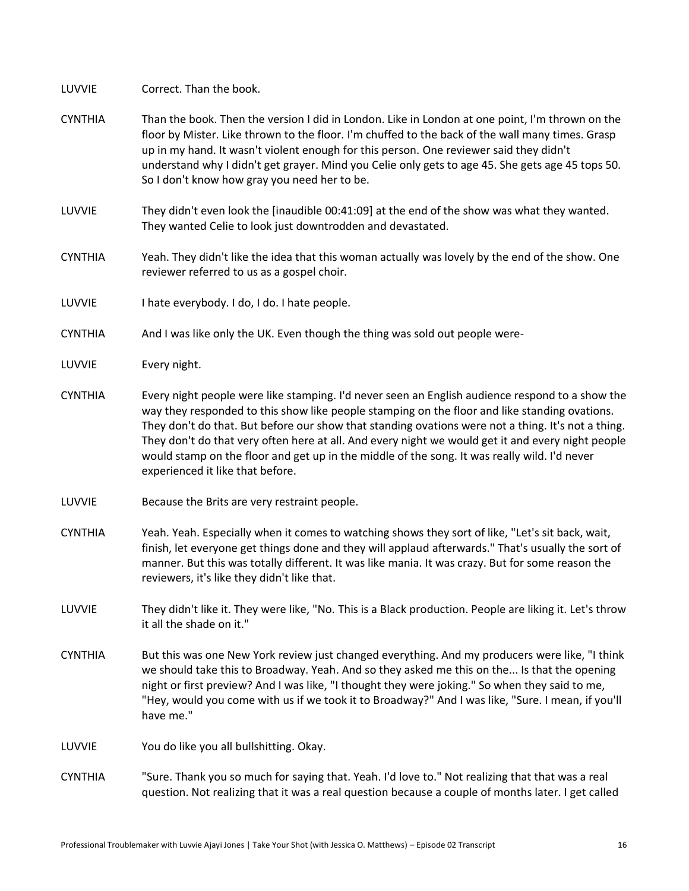LUVVIE Correct. Than the book.

- CYNTHIA Than the book. Then the version I did in London. Like in London at one point, I'm thrown on the floor by Mister. Like thrown to the floor. I'm chuffed to the back of the wall many times. Grasp up in my hand. It wasn't violent enough for this person. One reviewer said they didn't understand why I didn't get grayer. Mind you Celie only gets to age 45. She gets age 45 tops 50. So I don't know how gray you need her to be.
- LUVVIE They didn't even look the [inaudible 00:41:09] at the end of the show was what they wanted. They wanted Celie to look just downtrodden and devastated.
- CYNTHIA Yeah. They didn't like the idea that this woman actually was lovely by the end of the show. One reviewer referred to us as a gospel choir.
- LUVVIE I hate everybody. I do, I do. I hate people.
- CYNTHIA And I was like only the UK. Even though the thing was sold out people were-
- LUVVIE Every night.
- CYNTHIA Every night people were like stamping. I'd never seen an English audience respond to a show the way they responded to this show like people stamping on the floor and like standing ovations. They don't do that. But before our show that standing ovations were not a thing. It's not a thing. They don't do that very often here at all. And every night we would get it and every night people would stamp on the floor and get up in the middle of the song. It was really wild. I'd never experienced it like that before.
- LUVVIE Because the Brits are very restraint people.
- CYNTHIA Yeah. Yeah. Especially when it comes to watching shows they sort of like, "Let's sit back, wait, finish, let everyone get things done and they will applaud afterwards." That's usually the sort of manner. But this was totally different. It was like mania. It was crazy. But for some reason the reviewers, it's like they didn't like that.
- LUVVIE They didn't like it. They were like, "No. This is a Black production. People are liking it. Let's throw it all the shade on it."
- CYNTHIA But this was one New York review just changed everything. And my producers were like, "I think we should take this to Broadway. Yeah. And so they asked me this on the... Is that the opening night or first preview? And I was like, "I thought they were joking." So when they said to me, "Hey, would you come with us if we took it to Broadway?" And I was like, "Sure. I mean, if you'll have me."

LUVVIE You do like you all bullshitting. Okay.

CYNTHIA "Sure. Thank you so much for saying that. Yeah. I'd love to." Not realizing that that was a real question. Not realizing that it was a real question because a couple of months later. I get called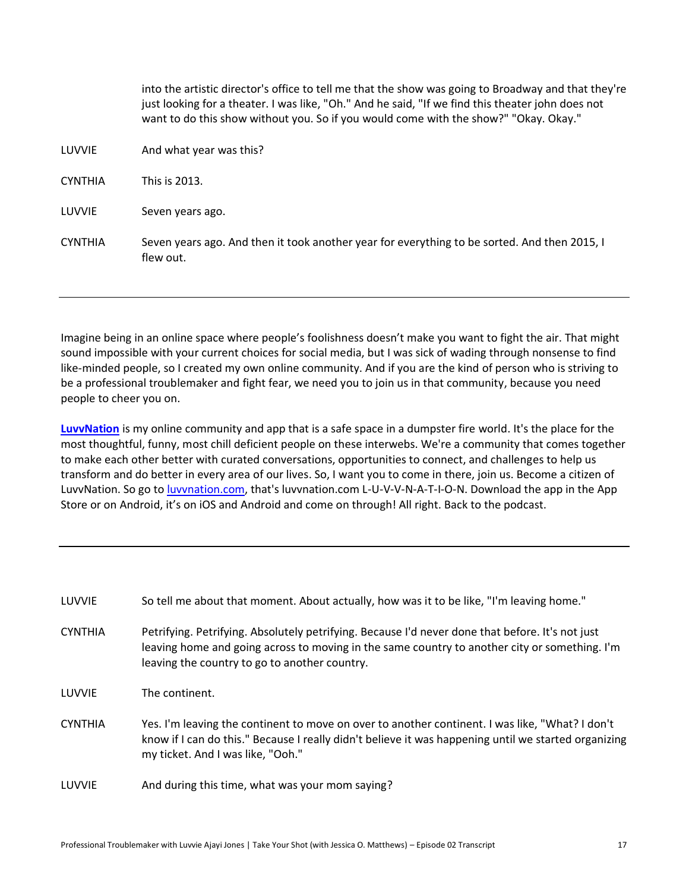|                | into the artistic director's office to tell me that the show was going to Broadway and that they're<br>just looking for a theater. I was like, "Oh." And he said, "If we find this theater john does not<br>want to do this show without you. So if you would come with the show?" "Okay. Okay." |
|----------------|--------------------------------------------------------------------------------------------------------------------------------------------------------------------------------------------------------------------------------------------------------------------------------------------------|
| LUVVIE         | And what year was this?                                                                                                                                                                                                                                                                          |
| <b>CYNTHIA</b> | This is 2013.                                                                                                                                                                                                                                                                                    |
| LUVVIE         | Seven years ago.                                                                                                                                                                                                                                                                                 |
| <b>CYNTHIA</b> | Seven years ago. And then it took another year for everything to be sorted. And then 2015, I<br>flew out.                                                                                                                                                                                        |

Imagine being in an online space where people's foolishness doesn't make you want to fight the air. That might sound impossible with your current choices for social media, but I was sick of wading through nonsense to find like-minded people, so I created my own online community. And if you are the kind of person who is striving to be a professional troublemaker and fight fear, we need you to join us in that community, because you need people to cheer you on.

**[LuvvNation](http://luvvnation.com/)** is my online community and app that is a safe space in a dumpster fire world. It's the place for the most thoughtful, funny, most chill deficient people on these interwebs. We're a community that comes together to make each other better with curated conversations, opportunities to connect, and challenges to help us transform and do better in every area of our lives. So, I want you to come in there, join us. Become a citizen of LuvvNation. So go t[o luvvnation.com,](http://luvvnation.com/) that's luvvnation.com L-U-V-V-N-A-T-I-O-N. Download the app in the App Store or on Android, it's on iOS and Android and come on through! All right. Back to the podcast.

| LUVVIE         | So tell me about that moment. About actually, how was it to be like, "I'm leaving home."                                                                                                                                                           |
|----------------|----------------------------------------------------------------------------------------------------------------------------------------------------------------------------------------------------------------------------------------------------|
| <b>CYNTHIA</b> | Petrifying. Petrifying. Absolutely petrifying. Because I'd never done that before. It's not just<br>leaving home and going across to moving in the same country to another city or something. I'm<br>leaving the country to go to another country. |
| LUVVIE         | The continent.                                                                                                                                                                                                                                     |
| <b>CYNTHIA</b> | Yes. I'm leaving the continent to move on over to another continent. I was like, "What? I don't<br>know if I can do this." Because I really didn't believe it was happening until we started organizing<br>my ticket. And I was like, "Ooh."       |
| LUVVIE         | And during this time, what was your mom saying?                                                                                                                                                                                                    |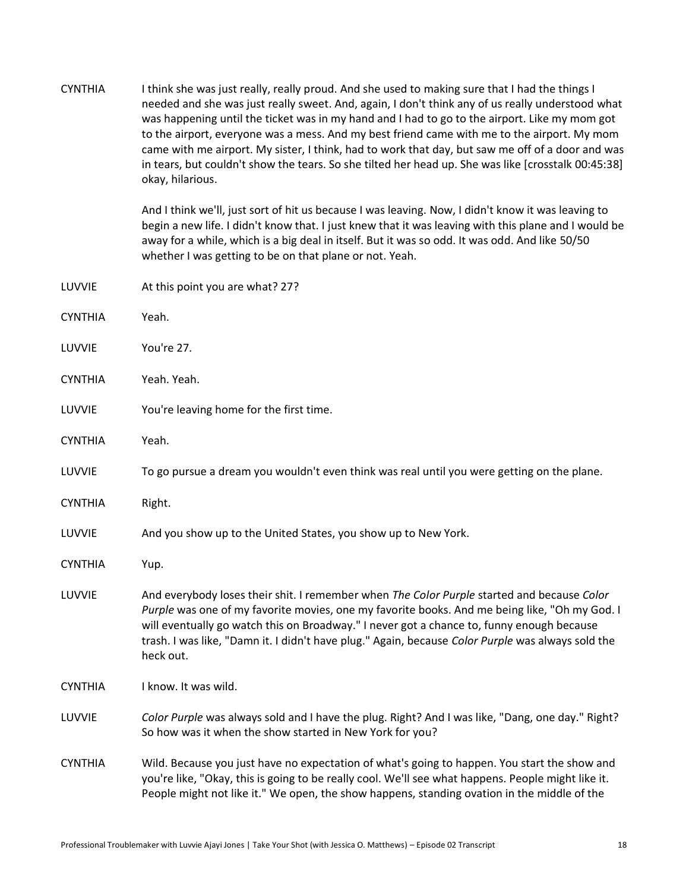| <b>CYNTHIA</b> | I think she was just really, really proud. And she used to making sure that I had the things I<br>needed and she was just really sweet. And, again, I don't think any of us really understood what<br>was happening until the ticket was in my hand and I had to go to the airport. Like my mom got<br>to the airport, everyone was a mess. And my best friend came with me to the airport. My mom<br>came with me airport. My sister, I think, had to work that day, but saw me off of a door and was<br>in tears, but couldn't show the tears. So she tilted her head up. She was like [crosstalk 00:45:38]<br>okay, hilarious.<br>And I think we'll, just sort of hit us because I was leaving. Now, I didn't know it was leaving to |
|----------------|-----------------------------------------------------------------------------------------------------------------------------------------------------------------------------------------------------------------------------------------------------------------------------------------------------------------------------------------------------------------------------------------------------------------------------------------------------------------------------------------------------------------------------------------------------------------------------------------------------------------------------------------------------------------------------------------------------------------------------------------|
|                | begin a new life. I didn't know that. I just knew that it was leaving with this plane and I would be<br>away for a while, which is a big deal in itself. But it was so odd. It was odd. And like 50/50<br>whether I was getting to be on that plane or not. Yeah.                                                                                                                                                                                                                                                                                                                                                                                                                                                                       |
| LUVVIE         | At this point you are what? 27?                                                                                                                                                                                                                                                                                                                                                                                                                                                                                                                                                                                                                                                                                                         |
| <b>CYNTHIA</b> | Yeah.                                                                                                                                                                                                                                                                                                                                                                                                                                                                                                                                                                                                                                                                                                                                   |
| LUVVIE         | You're 27.                                                                                                                                                                                                                                                                                                                                                                                                                                                                                                                                                                                                                                                                                                                              |
| <b>CYNTHIA</b> | Yeah. Yeah.                                                                                                                                                                                                                                                                                                                                                                                                                                                                                                                                                                                                                                                                                                                             |
| LUVVIE         | You're leaving home for the first time.                                                                                                                                                                                                                                                                                                                                                                                                                                                                                                                                                                                                                                                                                                 |
| <b>CYNTHIA</b> | Yeah.                                                                                                                                                                                                                                                                                                                                                                                                                                                                                                                                                                                                                                                                                                                                   |
| LUVVIE         | To go pursue a dream you wouldn't even think was real until you were getting on the plane.                                                                                                                                                                                                                                                                                                                                                                                                                                                                                                                                                                                                                                              |
| <b>CYNTHIA</b> | Right.                                                                                                                                                                                                                                                                                                                                                                                                                                                                                                                                                                                                                                                                                                                                  |
| LUVVIE         | And you show up to the United States, you show up to New York.                                                                                                                                                                                                                                                                                                                                                                                                                                                                                                                                                                                                                                                                          |
| <b>CYNTHIA</b> | Yup.                                                                                                                                                                                                                                                                                                                                                                                                                                                                                                                                                                                                                                                                                                                                    |
| LUVVIE         | And everybody loses their shit. I remember when The Color Purple started and because Color<br>Purple was one of my favorite movies, one my favorite books. And me being like, "Oh my God. I<br>will eventually go watch this on Broadway." I never got a chance to, funny enough because<br>trash. I was like, "Damn it. I didn't have plug." Again, because Color Purple was always sold the<br>heck out.                                                                                                                                                                                                                                                                                                                              |
| <b>CYNTHIA</b> | I know. It was wild.                                                                                                                                                                                                                                                                                                                                                                                                                                                                                                                                                                                                                                                                                                                    |
| LUVVIE         | Color Purple was always sold and I have the plug. Right? And I was like, "Dang, one day." Right?<br>So how was it when the show started in New York for you?                                                                                                                                                                                                                                                                                                                                                                                                                                                                                                                                                                            |
| <b>CYNTHIA</b> | Wild. Because you just have no expectation of what's going to happen. You start the show and<br>you're like, "Okay, this is going to be really cool. We'll see what happens. People might like it.<br>People might not like it." We open, the show happens, standing ovation in the middle of the                                                                                                                                                                                                                                                                                                                                                                                                                                       |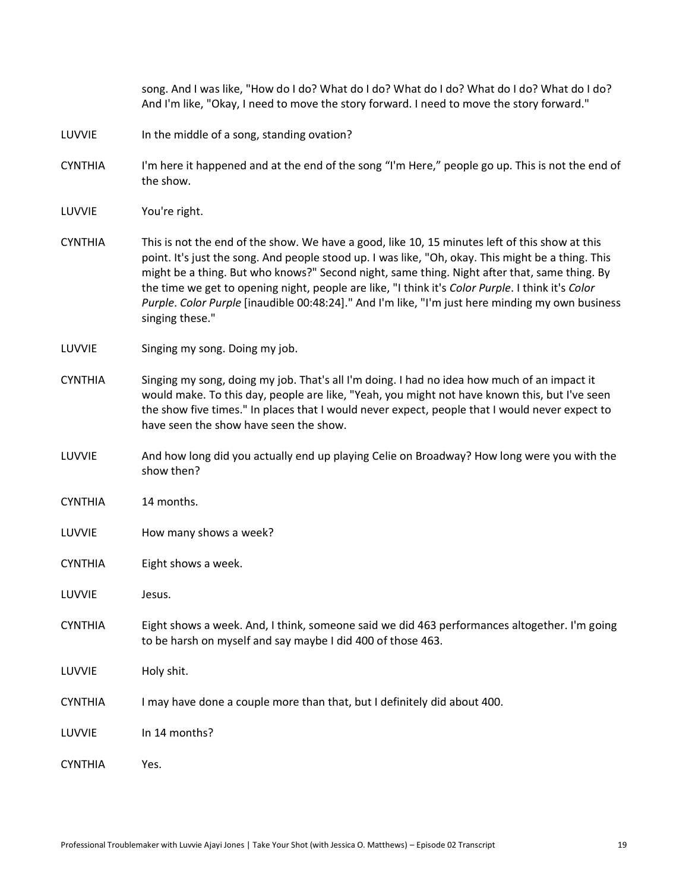|                | song. And I was like, "How do I do? What do I do? What do I do? What do I do? What do I do?<br>And I'm like, "Okay, I need to move the story forward. I need to move the story forward."                                                                                                                                                                                                                                                                                                                                         |
|----------------|----------------------------------------------------------------------------------------------------------------------------------------------------------------------------------------------------------------------------------------------------------------------------------------------------------------------------------------------------------------------------------------------------------------------------------------------------------------------------------------------------------------------------------|
| LUVVIE         | In the middle of a song, standing ovation?                                                                                                                                                                                                                                                                                                                                                                                                                                                                                       |
| <b>CYNTHIA</b> | I'm here it happened and at the end of the song "I'm Here," people go up. This is not the end of<br>the show.                                                                                                                                                                                                                                                                                                                                                                                                                    |
| LUVVIE         | You're right.                                                                                                                                                                                                                                                                                                                                                                                                                                                                                                                    |
| <b>CYNTHIA</b> | This is not the end of the show. We have a good, like 10, 15 minutes left of this show at this<br>point. It's just the song. And people stood up. I was like, "Oh, okay. This might be a thing. This<br>might be a thing. But who knows?" Second night, same thing. Night after that, same thing. By<br>the time we get to opening night, people are like, "I think it's Color Purple. I think it's Color<br>Purple. Color Purple [inaudible 00:48:24]." And I'm like, "I'm just here minding my own business<br>singing these." |
| LUVVIE         | Singing my song. Doing my job.                                                                                                                                                                                                                                                                                                                                                                                                                                                                                                   |
| <b>CYNTHIA</b> | Singing my song, doing my job. That's all I'm doing. I had no idea how much of an impact it<br>would make. To this day, people are like, "Yeah, you might not have known this, but I've seen<br>the show five times." In places that I would never expect, people that I would never expect to<br>have seen the show have seen the show.                                                                                                                                                                                         |
| LUVVIE         | And how long did you actually end up playing Celie on Broadway? How long were you with the<br>show then?                                                                                                                                                                                                                                                                                                                                                                                                                         |
| <b>CYNTHIA</b> | 14 months.                                                                                                                                                                                                                                                                                                                                                                                                                                                                                                                       |
| LUVVIE         | How many shows a week?                                                                                                                                                                                                                                                                                                                                                                                                                                                                                                           |
| <b>CYNTHIA</b> | Eight shows a week.                                                                                                                                                                                                                                                                                                                                                                                                                                                                                                              |
| LUVVIE         | Jesus.                                                                                                                                                                                                                                                                                                                                                                                                                                                                                                                           |
| <b>CYNTHIA</b> | Eight shows a week. And, I think, someone said we did 463 performances altogether. I'm going<br>to be harsh on myself and say maybe I did 400 of those 463.                                                                                                                                                                                                                                                                                                                                                                      |
| LUVVIE         | Holy shit.                                                                                                                                                                                                                                                                                                                                                                                                                                                                                                                       |
| <b>CYNTHIA</b> | I may have done a couple more than that, but I definitely did about 400.                                                                                                                                                                                                                                                                                                                                                                                                                                                         |
| LUVVIE         | In 14 months?                                                                                                                                                                                                                                                                                                                                                                                                                                                                                                                    |
| <b>CYNTHIA</b> | Yes.                                                                                                                                                                                                                                                                                                                                                                                                                                                                                                                             |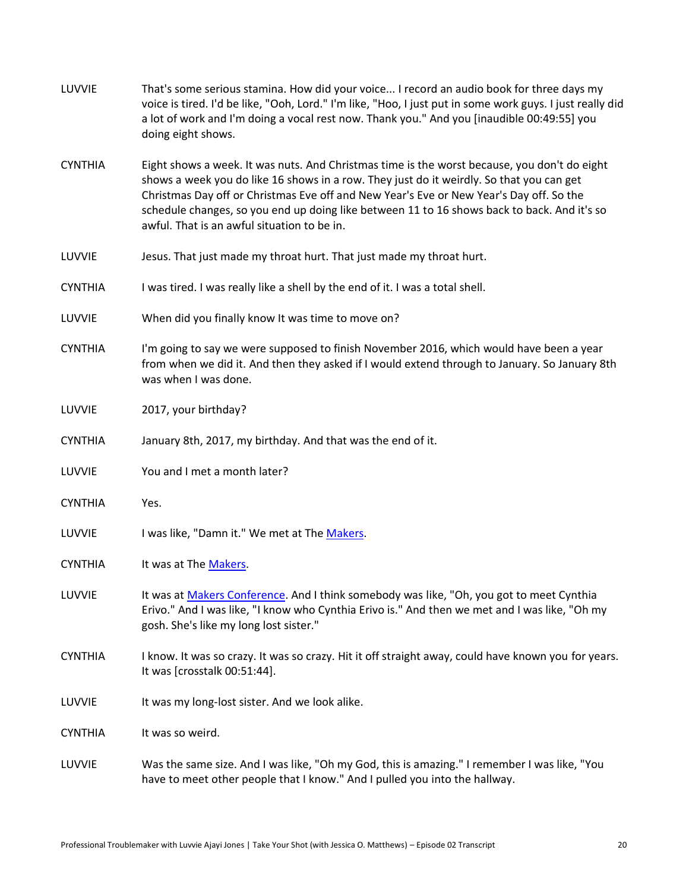| LUVVIE         | That's some serious stamina. How did your voice I record an audio book for three days my<br>voice is tired. I'd be like, "Ooh, Lord." I'm like, "Hoo, I just put in some work guys. I just really did<br>a lot of work and I'm doing a vocal rest now. Thank you." And you [inaudible 00:49:55] you<br>doing eight shows.                                                                                                         |
|----------------|-----------------------------------------------------------------------------------------------------------------------------------------------------------------------------------------------------------------------------------------------------------------------------------------------------------------------------------------------------------------------------------------------------------------------------------|
| <b>CYNTHIA</b> | Eight shows a week. It was nuts. And Christmas time is the worst because, you don't do eight<br>shows a week you do like 16 shows in a row. They just do it weirdly. So that you can get<br>Christmas Day off or Christmas Eve off and New Year's Eve or New Year's Day off. So the<br>schedule changes, so you end up doing like between 11 to 16 shows back to back. And it's so<br>awful. That is an awful situation to be in. |
| LUVVIE         | Jesus. That just made my throat hurt. That just made my throat hurt.                                                                                                                                                                                                                                                                                                                                                              |
| <b>CYNTHIA</b> | I was tired. I was really like a shell by the end of it. I was a total shell.                                                                                                                                                                                                                                                                                                                                                     |
| LUVVIE         | When did you finally know It was time to move on?                                                                                                                                                                                                                                                                                                                                                                                 |
| <b>CYNTHIA</b> | I'm going to say we were supposed to finish November 2016, which would have been a year<br>from when we did it. And then they asked if I would extend through to January. So January 8th<br>was when I was done.                                                                                                                                                                                                                  |
| LUVVIE         | 2017, your birthday?                                                                                                                                                                                                                                                                                                                                                                                                              |
| <b>CYNTHIA</b> | January 8th, 2017, my birthday. And that was the end of it.                                                                                                                                                                                                                                                                                                                                                                       |
| LUVVIE         | You and I met a month later?                                                                                                                                                                                                                                                                                                                                                                                                      |
| <b>CYNTHIA</b> | Yes.                                                                                                                                                                                                                                                                                                                                                                                                                              |
| LUVVIE         | I was like, "Damn it." We met at The Makers.                                                                                                                                                                                                                                                                                                                                                                                      |
| <b>CYNTHIA</b> | It was at The Makers.                                                                                                                                                                                                                                                                                                                                                                                                             |
| LUVVIE         | It was at Makers Conference. And I think somebody was like, "Oh, you got to meet Cynthia<br>Erivo." And I was like, "I know who Cynthia Erivo is." And then we met and I was like, "Oh my<br>gosh. She's like my long lost sister."                                                                                                                                                                                               |
| <b>CYNTHIA</b> | I know. It was so crazy. It was so crazy. Hit it off straight away, could have known you for years.<br>It was [crosstalk 00:51:44].                                                                                                                                                                                                                                                                                               |
| LUVVIE         | It was my long-lost sister. And we look alike.                                                                                                                                                                                                                                                                                                                                                                                    |
| <b>CYNTHIA</b> | It was so weird.                                                                                                                                                                                                                                                                                                                                                                                                                  |
| LUVVIE         | Was the same size. And I was like, "Oh my God, this is amazing." I remember I was like, "You<br>have to meet other people that I know." And I pulled you into the hallway.                                                                                                                                                                                                                                                        |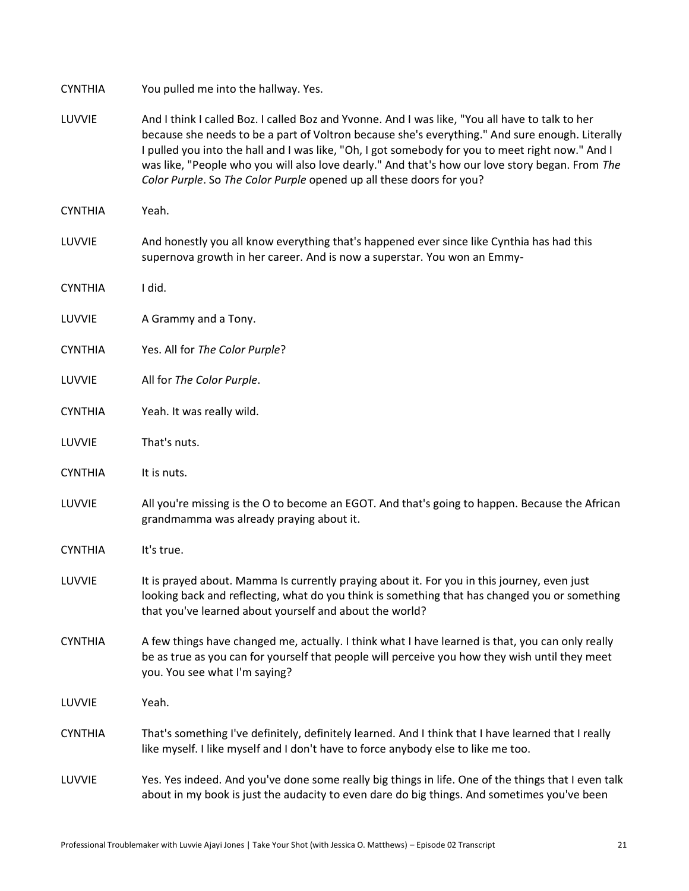| <b>CYNTHIA</b> | You pulled me into the hallway. Yes.                                                                                                                                                                                                                                                                                                                                                                                                                                              |
|----------------|-----------------------------------------------------------------------------------------------------------------------------------------------------------------------------------------------------------------------------------------------------------------------------------------------------------------------------------------------------------------------------------------------------------------------------------------------------------------------------------|
| LUVVIE         | And I think I called Boz. I called Boz and Yvonne. And I was like, "You all have to talk to her<br>because she needs to be a part of Voltron because she's everything." And sure enough. Literally<br>I pulled you into the hall and I was like, "Oh, I got somebody for you to meet right now." And I<br>was like, "People who you will also love dearly." And that's how our love story began. From The<br>Color Purple. So The Color Purple opened up all these doors for you? |
| <b>CYNTHIA</b> | Yeah.                                                                                                                                                                                                                                                                                                                                                                                                                                                                             |
| LUVVIE         | And honestly you all know everything that's happened ever since like Cynthia has had this<br>supernova growth in her career. And is now a superstar. You won an Emmy-                                                                                                                                                                                                                                                                                                             |
| <b>CYNTHIA</b> | I did.                                                                                                                                                                                                                                                                                                                                                                                                                                                                            |
| LUVVIE         | A Grammy and a Tony.                                                                                                                                                                                                                                                                                                                                                                                                                                                              |
| <b>CYNTHIA</b> | Yes. All for The Color Purple?                                                                                                                                                                                                                                                                                                                                                                                                                                                    |
| LUVVIE         | All for The Color Purple.                                                                                                                                                                                                                                                                                                                                                                                                                                                         |
| <b>CYNTHIA</b> | Yeah. It was really wild.                                                                                                                                                                                                                                                                                                                                                                                                                                                         |
| LUVVIE         | That's nuts.                                                                                                                                                                                                                                                                                                                                                                                                                                                                      |
| <b>CYNTHIA</b> | It is nuts.                                                                                                                                                                                                                                                                                                                                                                                                                                                                       |
| LUVVIE         | All you're missing is the O to become an EGOT. And that's going to happen. Because the African<br>grandmamma was already praying about it.                                                                                                                                                                                                                                                                                                                                        |
| <b>CYNTHIA</b> | It's true.                                                                                                                                                                                                                                                                                                                                                                                                                                                                        |
| LUVVIE         | It is prayed about. Mamma Is currently praying about it. For you in this journey, even just<br>looking back and reflecting, what do you think is something that has changed you or something<br>that you've learned about yourself and about the world?                                                                                                                                                                                                                           |
| <b>CYNTHIA</b> | A few things have changed me, actually. I think what I have learned is that, you can only really<br>be as true as you can for yourself that people will perceive you how they wish until they meet<br>you. You see what I'm saying?                                                                                                                                                                                                                                               |
| LUVVIE         | Yeah.                                                                                                                                                                                                                                                                                                                                                                                                                                                                             |
| <b>CYNTHIA</b> | That's something I've definitely, definitely learned. And I think that I have learned that I really<br>like myself. I like myself and I don't have to force anybody else to like me too.                                                                                                                                                                                                                                                                                          |
| LUVVIE         | Yes. Yes indeed. And you've done some really big things in life. One of the things that I even talk<br>about in my book is just the audacity to even dare do big things. And sometimes you've been                                                                                                                                                                                                                                                                                |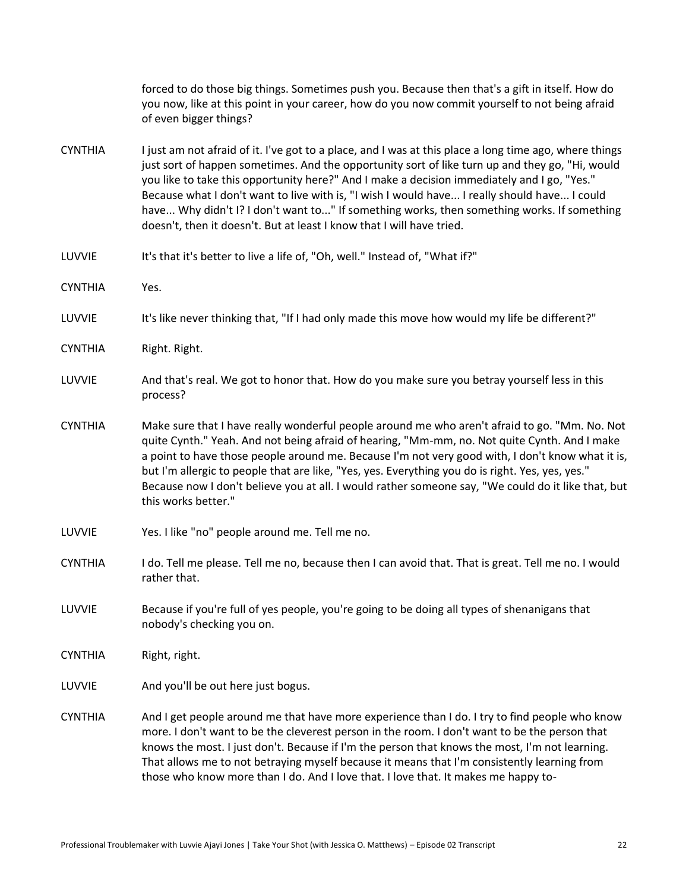|                | forced to do those big things. Sometimes push you. Because then that's a gift in itself. How do<br>you now, like at this point in your career, how do you now commit yourself to not being afraid<br>of even bigger things?                                                                                                                                                                                                                                                                                                                                                     |  |
|----------------|---------------------------------------------------------------------------------------------------------------------------------------------------------------------------------------------------------------------------------------------------------------------------------------------------------------------------------------------------------------------------------------------------------------------------------------------------------------------------------------------------------------------------------------------------------------------------------|--|
| <b>CYNTHIA</b> | I just am not afraid of it. I've got to a place, and I was at this place a long time ago, where things<br>just sort of happen sometimes. And the opportunity sort of like turn up and they go, "Hi, would<br>you like to take this opportunity here?" And I make a decision immediately and I go, "Yes."<br>Because what I don't want to live with is, "I wish I would have I really should have I could<br>have Why didn't I? I don't want to" If something works, then something works. If something<br>doesn't, then it doesn't. But at least I know that I will have tried. |  |
| LUVVIE         | It's that it's better to live a life of, "Oh, well." Instead of, "What if?"                                                                                                                                                                                                                                                                                                                                                                                                                                                                                                     |  |
| <b>CYNTHIA</b> | Yes.                                                                                                                                                                                                                                                                                                                                                                                                                                                                                                                                                                            |  |
| LUVVIE         | It's like never thinking that, "If I had only made this move how would my life be different?"                                                                                                                                                                                                                                                                                                                                                                                                                                                                                   |  |
| <b>CYNTHIA</b> | Right. Right.                                                                                                                                                                                                                                                                                                                                                                                                                                                                                                                                                                   |  |
| LUVVIE         | And that's real. We got to honor that. How do you make sure you betray yourself less in this<br>process?                                                                                                                                                                                                                                                                                                                                                                                                                                                                        |  |
| <b>CYNTHIA</b> | Make sure that I have really wonderful people around me who aren't afraid to go. "Mm. No. Not<br>quite Cynth." Yeah. And not being afraid of hearing, "Mm-mm, no. Not quite Cynth. And I make<br>a point to have those people around me. Because I'm not very good with, I don't know what it is,<br>but I'm allergic to people that are like, "Yes, yes. Everything you do is right. Yes, yes, yes."<br>Because now I don't believe you at all. I would rather someone say, "We could do it like that, but<br>this works better."                                              |  |
| LUVVIE         | Yes. I like "no" people around me. Tell me no.                                                                                                                                                                                                                                                                                                                                                                                                                                                                                                                                  |  |
| <b>CYNTHIA</b> | I do. Tell me please. Tell me no, because then I can avoid that. That is great. Tell me no. I would<br>rather that.                                                                                                                                                                                                                                                                                                                                                                                                                                                             |  |
| LUVVIE         | Because if you're full of yes people, you're going to be doing all types of shenanigans that<br>nobody's checking you on.                                                                                                                                                                                                                                                                                                                                                                                                                                                       |  |
| <b>CYNTHIA</b> | Right, right.                                                                                                                                                                                                                                                                                                                                                                                                                                                                                                                                                                   |  |
| LUVVIE         | And you'll be out here just bogus.                                                                                                                                                                                                                                                                                                                                                                                                                                                                                                                                              |  |
| <b>CYNTHIA</b> | And I get people around me that have more experience than I do. I try to find people who know<br>more. I don't want to be the cleverest person in the room. I don't want to be the person that<br>knows the most. I just don't. Because if I'm the person that knows the most, I'm not learning.<br>That allows me to not betraying myself because it means that I'm consistently learning from<br>those who know more than I do. And I love that. I love that. It makes me happy to-                                                                                           |  |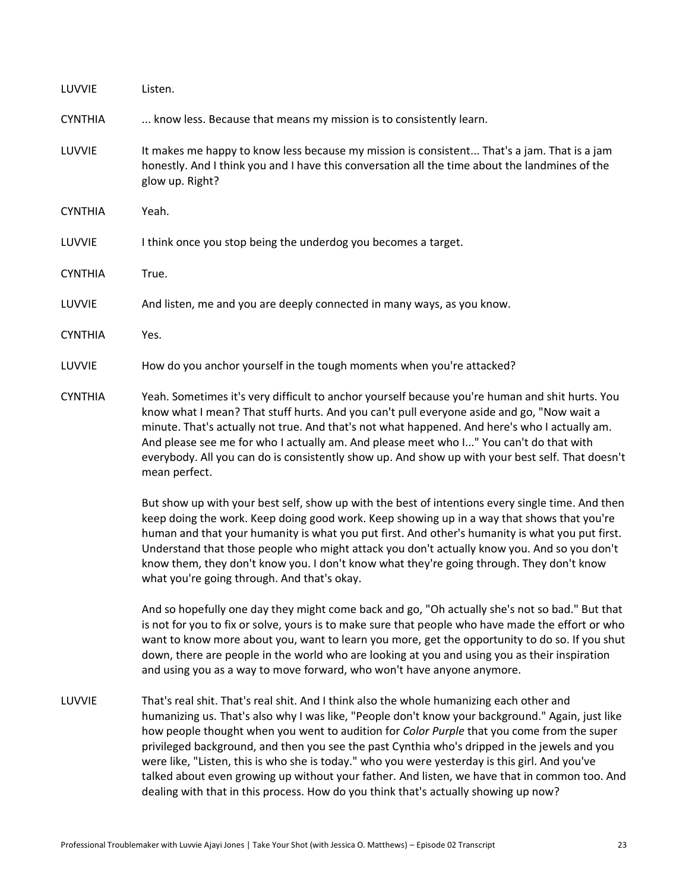| LUVVIE         | Listen.                                                                                                                                                                                                                                                                                                                                                                                                                                                                                                                                                                                                                                                                              |  |
|----------------|--------------------------------------------------------------------------------------------------------------------------------------------------------------------------------------------------------------------------------------------------------------------------------------------------------------------------------------------------------------------------------------------------------------------------------------------------------------------------------------------------------------------------------------------------------------------------------------------------------------------------------------------------------------------------------------|--|
| <b>CYNTHIA</b> | know less. Because that means my mission is to consistently learn.                                                                                                                                                                                                                                                                                                                                                                                                                                                                                                                                                                                                                   |  |
| LUVVIE         | It makes me happy to know less because my mission is consistent That's a jam. That is a jam<br>honestly. And I think you and I have this conversation all the time about the landmines of the<br>glow up. Right?                                                                                                                                                                                                                                                                                                                                                                                                                                                                     |  |
| <b>CYNTHIA</b> | Yeah.                                                                                                                                                                                                                                                                                                                                                                                                                                                                                                                                                                                                                                                                                |  |
| LUVVIE         | I think once you stop being the underdog you becomes a target.                                                                                                                                                                                                                                                                                                                                                                                                                                                                                                                                                                                                                       |  |
| <b>CYNTHIA</b> | True.                                                                                                                                                                                                                                                                                                                                                                                                                                                                                                                                                                                                                                                                                |  |
| LUVVIE         | And listen, me and you are deeply connected in many ways, as you know.                                                                                                                                                                                                                                                                                                                                                                                                                                                                                                                                                                                                               |  |
| <b>CYNTHIA</b> | Yes.                                                                                                                                                                                                                                                                                                                                                                                                                                                                                                                                                                                                                                                                                 |  |
| LUVVIE         | How do you anchor yourself in the tough moments when you're attacked?                                                                                                                                                                                                                                                                                                                                                                                                                                                                                                                                                                                                                |  |
| <b>CYNTHIA</b> | Yeah. Sometimes it's very difficult to anchor yourself because you're human and shit hurts. You<br>know what I mean? That stuff hurts. And you can't pull everyone aside and go, "Now wait a<br>minute. That's actually not true. And that's not what happened. And here's who I actually am.<br>And please see me for who I actually am. And please meet who I" You can't do that with<br>everybody. All you can do is consistently show up. And show up with your best self. That doesn't<br>mean perfect.                                                                                                                                                                         |  |
|                | But show up with your best self, show up with the best of intentions every single time. And then<br>keep doing the work. Keep doing good work. Keep showing up in a way that shows that you're<br>human and that your humanity is what you put first. And other's humanity is what you put first.<br>Understand that those people who might attack you don't actually know you. And so you don't<br>know them, they don't know you. I don't know what they're going through. They don't know<br>what you're going through. And that's okay.                                                                                                                                          |  |
|                | And so hopefully one day they might come back and go, "Oh actually she's not so bad." But that<br>is not for you to fix or solve, yours is to make sure that people who have made the effort or who<br>want to know more about you, want to learn you more, get the opportunity to do so. If you shut<br>down, there are people in the world who are looking at you and using you as their inspiration<br>and using you as a way to move forward, who won't have anyone anymore.                                                                                                                                                                                                     |  |
| LUVVIE         | That's real shit. That's real shit. And I think also the whole humanizing each other and<br>humanizing us. That's also why I was like, "People don't know your background." Again, just like<br>how people thought when you went to audition for Color Purple that you come from the super<br>privileged background, and then you see the past Cynthia who's dripped in the jewels and you<br>were like, "Listen, this is who she is today." who you were yesterday is this girl. And you've<br>talked about even growing up without your father. And listen, we have that in common too. And<br>dealing with that in this process. How do you think that's actually showing up now? |  |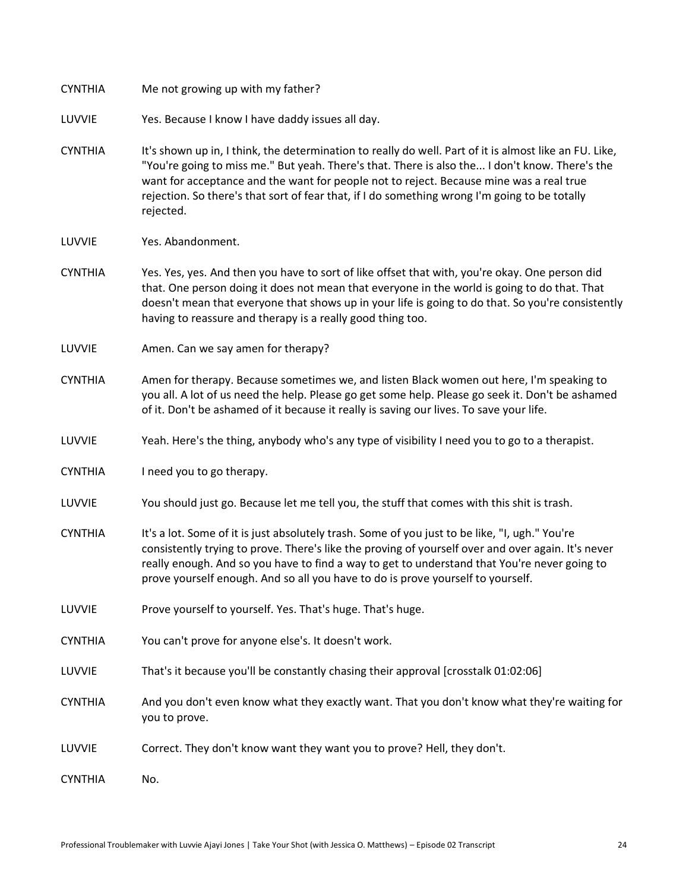| <b>CYNTHIA</b> | Me not growing up with my father?                                                                                                                                                                                                                                                                                                                                                                                 |  |
|----------------|-------------------------------------------------------------------------------------------------------------------------------------------------------------------------------------------------------------------------------------------------------------------------------------------------------------------------------------------------------------------------------------------------------------------|--|
| LUVVIE         | Yes. Because I know I have daddy issues all day.                                                                                                                                                                                                                                                                                                                                                                  |  |
| <b>CYNTHIA</b> | It's shown up in, I think, the determination to really do well. Part of it is almost like an FU. Like,<br>"You're going to miss me." But yeah. There's that. There is also the I don't know. There's the<br>want for acceptance and the want for people not to reject. Because mine was a real true<br>rejection. So there's that sort of fear that, if I do something wrong I'm going to be totally<br>rejected. |  |
| LUVVIE         | Yes. Abandonment.                                                                                                                                                                                                                                                                                                                                                                                                 |  |
| <b>CYNTHIA</b> | Yes. Yes, yes. And then you have to sort of like offset that with, you're okay. One person did<br>that. One person doing it does not mean that everyone in the world is going to do that. That<br>doesn't mean that everyone that shows up in your life is going to do that. So you're consistently<br>having to reassure and therapy is a really good thing too.                                                 |  |
| LUVVIE         | Amen. Can we say amen for therapy?                                                                                                                                                                                                                                                                                                                                                                                |  |
| <b>CYNTHIA</b> | Amen for therapy. Because sometimes we, and listen Black women out here, I'm speaking to<br>you all. A lot of us need the help. Please go get some help. Please go seek it. Don't be ashamed<br>of it. Don't be ashamed of it because it really is saving our lives. To save your life.                                                                                                                           |  |
| LUVVIE         | Yeah. Here's the thing, anybody who's any type of visibility I need you to go to a therapist.                                                                                                                                                                                                                                                                                                                     |  |
| <b>CYNTHIA</b> | I need you to go therapy.                                                                                                                                                                                                                                                                                                                                                                                         |  |
| LUVVIE         | You should just go. Because let me tell you, the stuff that comes with this shit is trash.                                                                                                                                                                                                                                                                                                                        |  |
| <b>CYNTHIA</b> | It's a lot. Some of it is just absolutely trash. Some of you just to be like, "I, ugh." You're<br>consistently trying to prove. There's like the proving of yourself over and over again. It's never<br>really enough. And so you have to find a way to get to understand that You're never going to<br>prove yourself enough. And so all you have to do is prove yourself to yourself.                           |  |
| LUVVIE         | Prove yourself to yourself. Yes. That's huge. That's huge.                                                                                                                                                                                                                                                                                                                                                        |  |
| <b>CYNTHIA</b> | You can't prove for anyone else's. It doesn't work.                                                                                                                                                                                                                                                                                                                                                               |  |
| LUVVIE         | That's it because you'll be constantly chasing their approval [crosstalk 01:02:06]                                                                                                                                                                                                                                                                                                                                |  |
| <b>CYNTHIA</b> | And you don't even know what they exactly want. That you don't know what they're waiting for<br>you to prove.                                                                                                                                                                                                                                                                                                     |  |
| LUVVIE         | Correct. They don't know want they want you to prove? Hell, they don't.                                                                                                                                                                                                                                                                                                                                           |  |
| <b>CYNTHIA</b> | No.                                                                                                                                                                                                                                                                                                                                                                                                               |  |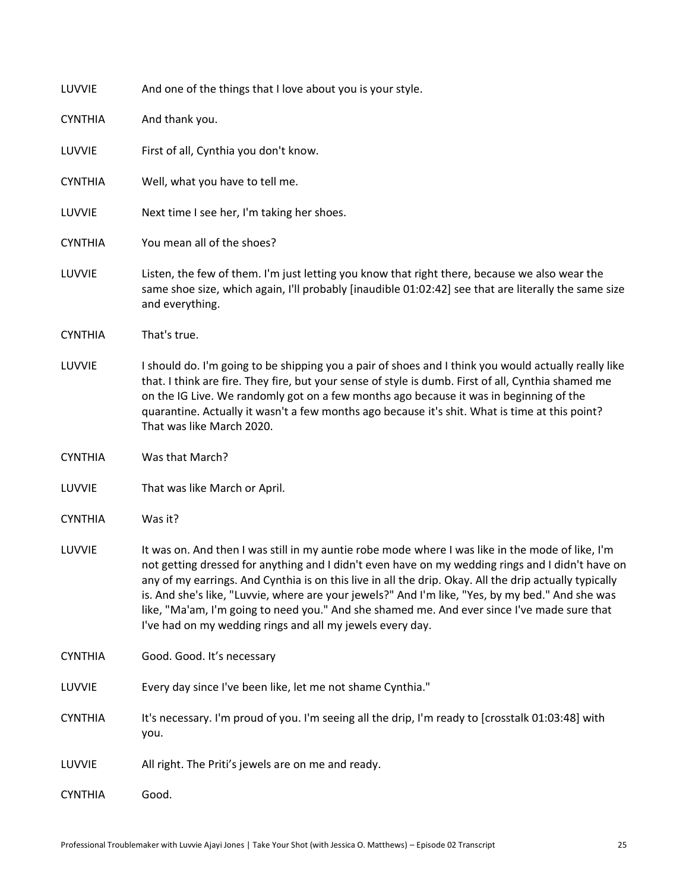| LUVVIE         | And one of the things that I love about you is your style.                                                                                                                                                                                                                                                                                                                                                                                                                                                                                                                     |  |
|----------------|--------------------------------------------------------------------------------------------------------------------------------------------------------------------------------------------------------------------------------------------------------------------------------------------------------------------------------------------------------------------------------------------------------------------------------------------------------------------------------------------------------------------------------------------------------------------------------|--|
| <b>CYNTHIA</b> | And thank you.                                                                                                                                                                                                                                                                                                                                                                                                                                                                                                                                                                 |  |
| LUVVIE         | First of all, Cynthia you don't know.                                                                                                                                                                                                                                                                                                                                                                                                                                                                                                                                          |  |
| <b>CYNTHIA</b> | Well, what you have to tell me.                                                                                                                                                                                                                                                                                                                                                                                                                                                                                                                                                |  |
| LUVVIE         | Next time I see her, I'm taking her shoes.                                                                                                                                                                                                                                                                                                                                                                                                                                                                                                                                     |  |
| <b>CYNTHIA</b> | You mean all of the shoes?                                                                                                                                                                                                                                                                                                                                                                                                                                                                                                                                                     |  |
| LUVVIE         | Listen, the few of them. I'm just letting you know that right there, because we also wear the<br>same shoe size, which again, I'll probably [inaudible 01:02:42] see that are literally the same size<br>and everything.                                                                                                                                                                                                                                                                                                                                                       |  |
| <b>CYNTHIA</b> | That's true.                                                                                                                                                                                                                                                                                                                                                                                                                                                                                                                                                                   |  |
| LUVVIE         | I should do. I'm going to be shipping you a pair of shoes and I think you would actually really like<br>that. I think are fire. They fire, but your sense of style is dumb. First of all, Cynthia shamed me<br>on the IG Live. We randomly got on a few months ago because it was in beginning of the<br>quarantine. Actually it wasn't a few months ago because it's shit. What is time at this point?<br>That was like March 2020.                                                                                                                                           |  |
| <b>CYNTHIA</b> | Was that March?                                                                                                                                                                                                                                                                                                                                                                                                                                                                                                                                                                |  |
| LUVVIE         | That was like March or April.                                                                                                                                                                                                                                                                                                                                                                                                                                                                                                                                                  |  |
| <b>CYNTHIA</b> | Was it?                                                                                                                                                                                                                                                                                                                                                                                                                                                                                                                                                                        |  |
| LUVVIE         | It was on. And then I was still in my auntie robe mode where I was like in the mode of like, I'm<br>not getting dressed for anything and I didn't even have on my wedding rings and I didn't have on<br>any of my earrings. And Cynthia is on this live in all the drip. Okay. All the drip actually typically<br>is. And she's like, "Luvvie, where are your jewels?" And I'm like, "Yes, by my bed." And she was<br>like, "Ma'am, I'm going to need you." And she shamed me. And ever since I've made sure that<br>I've had on my wedding rings and all my jewels every day. |  |
| <b>CYNTHIA</b> | Good. Good. It's necessary                                                                                                                                                                                                                                                                                                                                                                                                                                                                                                                                                     |  |
| LUVVIE         | Every day since I've been like, let me not shame Cynthia."                                                                                                                                                                                                                                                                                                                                                                                                                                                                                                                     |  |
| <b>CYNTHIA</b> | It's necessary. I'm proud of you. I'm seeing all the drip, I'm ready to [crosstalk 01:03:48] with<br>you.                                                                                                                                                                                                                                                                                                                                                                                                                                                                      |  |
| LUVVIE         | All right. The Priti's jewels are on me and ready.                                                                                                                                                                                                                                                                                                                                                                                                                                                                                                                             |  |
| <b>CYNTHIA</b> | Good.                                                                                                                                                                                                                                                                                                                                                                                                                                                                                                                                                                          |  |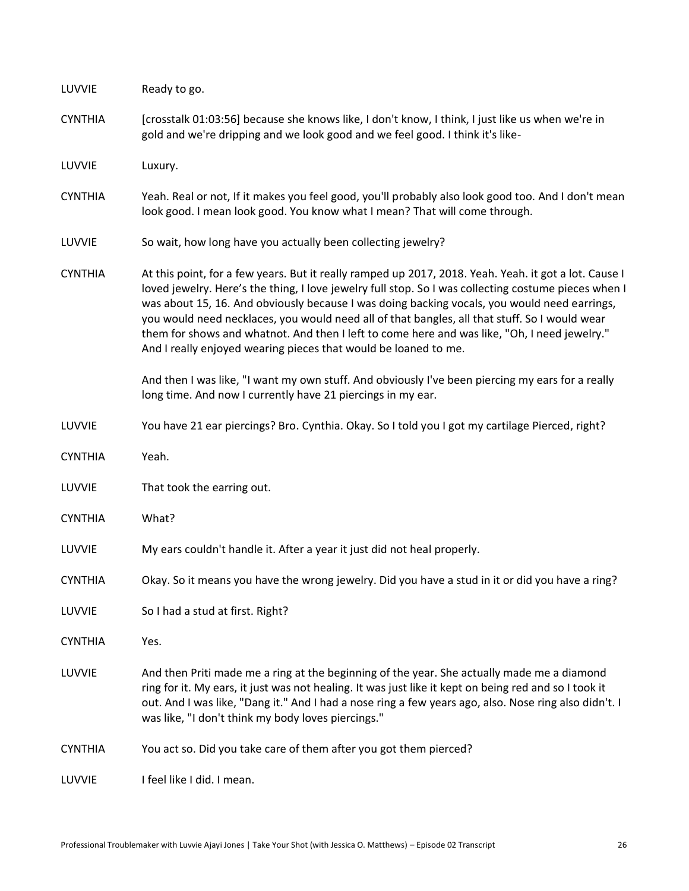| LUVVIE         | Ready to go.                                                                                                                                                                                                                                                                                                                                                                                                                                                                                                                                                                      |  |
|----------------|-----------------------------------------------------------------------------------------------------------------------------------------------------------------------------------------------------------------------------------------------------------------------------------------------------------------------------------------------------------------------------------------------------------------------------------------------------------------------------------------------------------------------------------------------------------------------------------|--|
| <b>CYNTHIA</b> | [crosstalk 01:03:56] because she knows like, I don't know, I think, I just like us when we're in<br>gold and we're dripping and we look good and we feel good. I think it's like-                                                                                                                                                                                                                                                                                                                                                                                                 |  |
| LUVVIE         | Luxury.                                                                                                                                                                                                                                                                                                                                                                                                                                                                                                                                                                           |  |
| <b>CYNTHIA</b> | Yeah. Real or not, If it makes you feel good, you'll probably also look good too. And I don't mean<br>look good. I mean look good. You know what I mean? That will come through.                                                                                                                                                                                                                                                                                                                                                                                                  |  |
| LUVVIE         | So wait, how long have you actually been collecting jewelry?                                                                                                                                                                                                                                                                                                                                                                                                                                                                                                                      |  |
| <b>CYNTHIA</b> | At this point, for a few years. But it really ramped up 2017, 2018. Yeah. Yeah. it got a lot. Cause I<br>loved jewelry. Here's the thing, I love jewelry full stop. So I was collecting costume pieces when I<br>was about 15, 16. And obviously because I was doing backing vocals, you would need earrings,<br>you would need necklaces, you would need all of that bangles, all that stuff. So I would wear<br>them for shows and whatnot. And then I left to come here and was like, "Oh, I need jewelry."<br>And I really enjoyed wearing pieces that would be loaned to me. |  |
|                | And then I was like, "I want my own stuff. And obviously I've been piercing my ears for a really<br>long time. And now I currently have 21 piercings in my ear.                                                                                                                                                                                                                                                                                                                                                                                                                   |  |
| LUVVIE         | You have 21 ear piercings? Bro. Cynthia. Okay. So I told you I got my cartilage Pierced, right?                                                                                                                                                                                                                                                                                                                                                                                                                                                                                   |  |
| <b>CYNTHIA</b> | Yeah.                                                                                                                                                                                                                                                                                                                                                                                                                                                                                                                                                                             |  |
| LUVVIE         | That took the earring out.                                                                                                                                                                                                                                                                                                                                                                                                                                                                                                                                                        |  |
| <b>CYNTHIA</b> | What?                                                                                                                                                                                                                                                                                                                                                                                                                                                                                                                                                                             |  |
| LUVVIE         | My ears couldn't handle it. After a year it just did not heal properly.                                                                                                                                                                                                                                                                                                                                                                                                                                                                                                           |  |
| <b>CYNTHIA</b> | Okay. So it means you have the wrong jewelry. Did you have a stud in it or did you have a ring?                                                                                                                                                                                                                                                                                                                                                                                                                                                                                   |  |
| LUVVIE         | So I had a stud at first. Right?                                                                                                                                                                                                                                                                                                                                                                                                                                                                                                                                                  |  |
| <b>CYNTHIA</b> | Yes.                                                                                                                                                                                                                                                                                                                                                                                                                                                                                                                                                                              |  |
| LUVVIE         | And then Priti made me a ring at the beginning of the year. She actually made me a diamond<br>ring for it. My ears, it just was not healing. It was just like it kept on being red and so I took it<br>out. And I was like, "Dang it." And I had a nose ring a few years ago, also. Nose ring also didn't. I<br>was like, "I don't think my body loves piercings."                                                                                                                                                                                                                |  |
| <b>CYNTHIA</b> | You act so. Did you take care of them after you got them pierced?                                                                                                                                                                                                                                                                                                                                                                                                                                                                                                                 |  |
| LUVVIE         | I feel like I did. I mean.                                                                                                                                                                                                                                                                                                                                                                                                                                                                                                                                                        |  |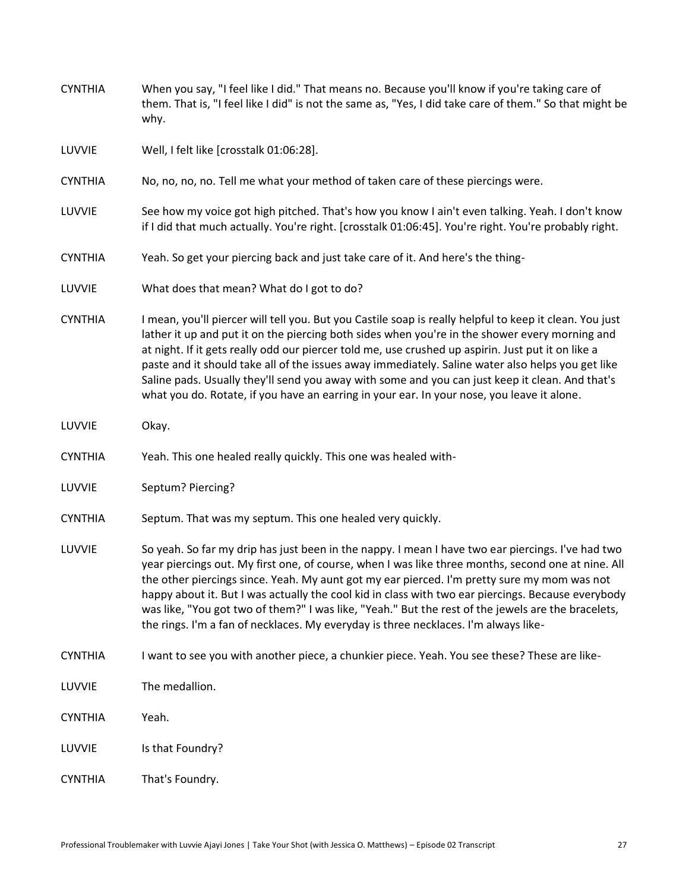| <b>CYNTHIA</b> | When you say, "I feel like I did." That means no. Because you'll know if you're taking care of<br>them. That is, "I feel like I did" is not the same as, "Yes, I did take care of them." So that might be<br>why.                                                                                                                                                                                                                                                                                                                                                                                                     |  |
|----------------|-----------------------------------------------------------------------------------------------------------------------------------------------------------------------------------------------------------------------------------------------------------------------------------------------------------------------------------------------------------------------------------------------------------------------------------------------------------------------------------------------------------------------------------------------------------------------------------------------------------------------|--|
| LUVVIE         | Well, I felt like [crosstalk 01:06:28].                                                                                                                                                                                                                                                                                                                                                                                                                                                                                                                                                                               |  |
| <b>CYNTHIA</b> | No, no, no, no. Tell me what your method of taken care of these piercings were.                                                                                                                                                                                                                                                                                                                                                                                                                                                                                                                                       |  |
| LUVVIE         | See how my voice got high pitched. That's how you know I ain't even talking. Yeah. I don't know<br>if I did that much actually. You're right. [crosstalk 01:06:45]. You're right. You're probably right.                                                                                                                                                                                                                                                                                                                                                                                                              |  |
| <b>CYNTHIA</b> | Yeah. So get your piercing back and just take care of it. And here's the thing-                                                                                                                                                                                                                                                                                                                                                                                                                                                                                                                                       |  |
| LUVVIE         | What does that mean? What do I got to do?                                                                                                                                                                                                                                                                                                                                                                                                                                                                                                                                                                             |  |
| <b>CYNTHIA</b> | I mean, you'll piercer will tell you. But you Castile soap is really helpful to keep it clean. You just<br>lather it up and put it on the piercing both sides when you're in the shower every morning and<br>at night. If it gets really odd our piercer told me, use crushed up aspirin. Just put it on like a<br>paste and it should take all of the issues away immediately. Saline water also helps you get like<br>Saline pads. Usually they'll send you away with some and you can just keep it clean. And that's<br>what you do. Rotate, if you have an earring in your ear. In your nose, you leave it alone. |  |
| LUVVIE         | Okay.                                                                                                                                                                                                                                                                                                                                                                                                                                                                                                                                                                                                                 |  |
| <b>CYNTHIA</b> | Yeah. This one healed really quickly. This one was healed with-                                                                                                                                                                                                                                                                                                                                                                                                                                                                                                                                                       |  |
| LUVVIE         | Septum? Piercing?                                                                                                                                                                                                                                                                                                                                                                                                                                                                                                                                                                                                     |  |
| <b>CYNTHIA</b> | Septum. That was my septum. This one healed very quickly.                                                                                                                                                                                                                                                                                                                                                                                                                                                                                                                                                             |  |
| LUVVIE         | So yeah. So far my drip has just been in the nappy. I mean I have two ear piercings. I've had two<br>year piercings out. My first one, of course, when I was like three months, second one at nine. All<br>the other piercings since. Yeah. My aunt got my ear pierced. I'm pretty sure my mom was not<br>happy about it. But I was actually the cool kid in class with two ear piercings. Because everybody<br>was like, "You got two of them?" I was like, "Yeah." But the rest of the jewels are the bracelets,<br>the rings. I'm a fan of necklaces. My everyday is three necklaces. I'm always like-             |  |
| <b>CYNTHIA</b> | I want to see you with another piece, a chunkier piece. Yeah. You see these? These are like-                                                                                                                                                                                                                                                                                                                                                                                                                                                                                                                          |  |
| LUVVIE         | The medallion.                                                                                                                                                                                                                                                                                                                                                                                                                                                                                                                                                                                                        |  |
| <b>CYNTHIA</b> | Yeah.                                                                                                                                                                                                                                                                                                                                                                                                                                                                                                                                                                                                                 |  |
| LUVVIE         | Is that Foundry?                                                                                                                                                                                                                                                                                                                                                                                                                                                                                                                                                                                                      |  |
| <b>CYNTHIA</b> | That's Foundry.                                                                                                                                                                                                                                                                                                                                                                                                                                                                                                                                                                                                       |  |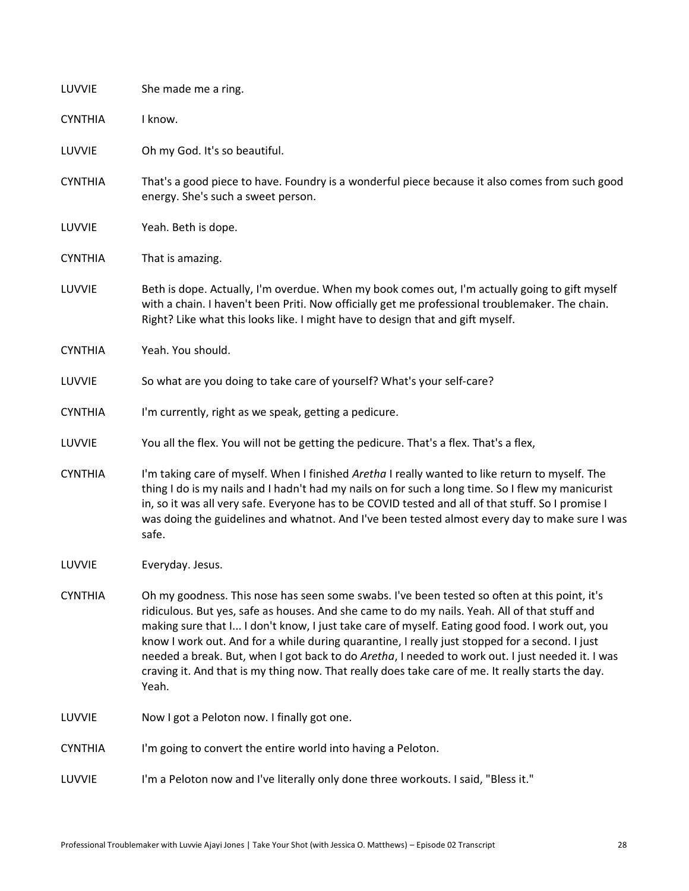| LUVVIE         | She made me a ring.                                                                                                                                                                                                                                                                                                                                                                                                                                                                                                                                                                                                 |  |
|----------------|---------------------------------------------------------------------------------------------------------------------------------------------------------------------------------------------------------------------------------------------------------------------------------------------------------------------------------------------------------------------------------------------------------------------------------------------------------------------------------------------------------------------------------------------------------------------------------------------------------------------|--|
| <b>CYNTHIA</b> | I know.                                                                                                                                                                                                                                                                                                                                                                                                                                                                                                                                                                                                             |  |
| LUVVIE         | Oh my God. It's so beautiful.                                                                                                                                                                                                                                                                                                                                                                                                                                                                                                                                                                                       |  |
| <b>CYNTHIA</b> | That's a good piece to have. Foundry is a wonderful piece because it also comes from such good<br>energy. She's such a sweet person.                                                                                                                                                                                                                                                                                                                                                                                                                                                                                |  |
| LUVVIE         | Yeah. Beth is dope.                                                                                                                                                                                                                                                                                                                                                                                                                                                                                                                                                                                                 |  |
| <b>CYNTHIA</b> | That is amazing.                                                                                                                                                                                                                                                                                                                                                                                                                                                                                                                                                                                                    |  |
| LUVVIE         | Beth is dope. Actually, I'm overdue. When my book comes out, I'm actually going to gift myself<br>with a chain. I haven't been Priti. Now officially get me professional troublemaker. The chain.<br>Right? Like what this looks like. I might have to design that and gift myself.                                                                                                                                                                                                                                                                                                                                 |  |
| <b>CYNTHIA</b> | Yeah. You should.                                                                                                                                                                                                                                                                                                                                                                                                                                                                                                                                                                                                   |  |
| LUVVIE         | So what are you doing to take care of yourself? What's your self-care?                                                                                                                                                                                                                                                                                                                                                                                                                                                                                                                                              |  |
| <b>CYNTHIA</b> | I'm currently, right as we speak, getting a pedicure.                                                                                                                                                                                                                                                                                                                                                                                                                                                                                                                                                               |  |
| LUVVIE         | You all the flex. You will not be getting the pedicure. That's a flex. That's a flex,                                                                                                                                                                                                                                                                                                                                                                                                                                                                                                                               |  |
| <b>CYNTHIA</b> | I'm taking care of myself. When I finished Aretha I really wanted to like return to myself. The<br>thing I do is my nails and I hadn't had my nails on for such a long time. So I flew my manicurist<br>in, so it was all very safe. Everyone has to be COVID tested and all of that stuff. So I promise I<br>was doing the guidelines and whatnot. And I've been tested almost every day to make sure I was<br>safe.                                                                                                                                                                                               |  |
| LUVVIE         | Everyday. Jesus.                                                                                                                                                                                                                                                                                                                                                                                                                                                                                                                                                                                                    |  |
| <b>CYNTHIA</b> | Oh my goodness. This nose has seen some swabs. I've been tested so often at this point, it's<br>ridiculous. But yes, safe as houses. And she came to do my nails. Yeah. All of that stuff and<br>making sure that I I don't know, I just take care of myself. Eating good food. I work out, you<br>know I work out. And for a while during quarantine, I really just stopped for a second. I just<br>needed a break. But, when I got back to do Aretha, I needed to work out. I just needed it. I was<br>craving it. And that is my thing now. That really does take care of me. It really starts the day.<br>Yeah. |  |
| LUVVIE         | Now I got a Peloton now. I finally got one.                                                                                                                                                                                                                                                                                                                                                                                                                                                                                                                                                                         |  |
| <b>CYNTHIA</b> | I'm going to convert the entire world into having a Peloton.                                                                                                                                                                                                                                                                                                                                                                                                                                                                                                                                                        |  |
| LUVVIE         | I'm a Peloton now and I've literally only done three workouts. I said, "Bless it."                                                                                                                                                                                                                                                                                                                                                                                                                                                                                                                                  |  |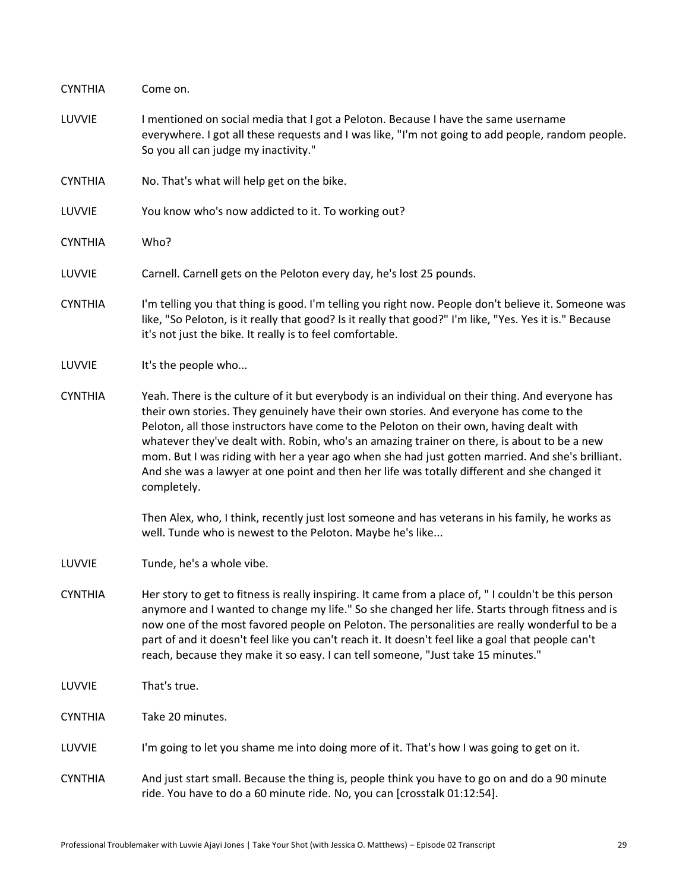| <b>CYNTHIA</b> | Come on.                                                                                                                                                                                                                                                                                                                                                                                                                                                                                                                                                                                                                                                                                                   |  |
|----------------|------------------------------------------------------------------------------------------------------------------------------------------------------------------------------------------------------------------------------------------------------------------------------------------------------------------------------------------------------------------------------------------------------------------------------------------------------------------------------------------------------------------------------------------------------------------------------------------------------------------------------------------------------------------------------------------------------------|--|
| LUVVIE         | I mentioned on social media that I got a Peloton. Because I have the same username<br>everywhere. I got all these requests and I was like, "I'm not going to add people, random people.<br>So you all can judge my inactivity."                                                                                                                                                                                                                                                                                                                                                                                                                                                                            |  |
| <b>CYNTHIA</b> | No. That's what will help get on the bike.                                                                                                                                                                                                                                                                                                                                                                                                                                                                                                                                                                                                                                                                 |  |
| LUVVIE         | You know who's now addicted to it. To working out?                                                                                                                                                                                                                                                                                                                                                                                                                                                                                                                                                                                                                                                         |  |
| <b>CYNTHIA</b> | Who?                                                                                                                                                                                                                                                                                                                                                                                                                                                                                                                                                                                                                                                                                                       |  |
| LUVVIE         | Carnell. Carnell gets on the Peloton every day, he's lost 25 pounds.                                                                                                                                                                                                                                                                                                                                                                                                                                                                                                                                                                                                                                       |  |
| <b>CYNTHIA</b> | I'm telling you that thing is good. I'm telling you right now. People don't believe it. Someone was<br>like, "So Peloton, is it really that good? Is it really that good?" I'm like, "Yes. Yes it is." Because<br>it's not just the bike. It really is to feel comfortable.                                                                                                                                                                                                                                                                                                                                                                                                                                |  |
| LUVVIE         | It's the people who                                                                                                                                                                                                                                                                                                                                                                                                                                                                                                                                                                                                                                                                                        |  |
| <b>CYNTHIA</b> | Yeah. There is the culture of it but everybody is an individual on their thing. And everyone has<br>their own stories. They genuinely have their own stories. And everyone has come to the<br>Peloton, all those instructors have come to the Peloton on their own, having dealt with<br>whatever they've dealt with. Robin, who's an amazing trainer on there, is about to be a new<br>mom. But I was riding with her a year ago when she had just gotten married. And she's brilliant.<br>And she was a lawyer at one point and then her life was totally different and she changed it<br>completely.<br>Then Alex, who, I think, recently just lost someone and has veterans in his family, he works as |  |
|                | well. Tunde who is newest to the Peloton. Maybe he's like                                                                                                                                                                                                                                                                                                                                                                                                                                                                                                                                                                                                                                                  |  |
| LUVVIE         | Tunde, he's a whole vibe.                                                                                                                                                                                                                                                                                                                                                                                                                                                                                                                                                                                                                                                                                  |  |
| <b>CYNTHIA</b> | Her story to get to fitness is really inspiring. It came from a place of, "I couldn't be this person<br>anymore and I wanted to change my life." So she changed her life. Starts through fitness and is<br>now one of the most favored people on Peloton. The personalities are really wonderful to be a<br>part of and it doesn't feel like you can't reach it. It doesn't feel like a goal that people can't<br>reach, because they make it so easy. I can tell someone, "Just take 15 minutes."                                                                                                                                                                                                         |  |
| LUVVIE         | That's true.                                                                                                                                                                                                                                                                                                                                                                                                                                                                                                                                                                                                                                                                                               |  |
| <b>CYNTHIA</b> | Take 20 minutes.                                                                                                                                                                                                                                                                                                                                                                                                                                                                                                                                                                                                                                                                                           |  |
| LUVVIE         | I'm going to let you shame me into doing more of it. That's how I was going to get on it.                                                                                                                                                                                                                                                                                                                                                                                                                                                                                                                                                                                                                  |  |
| <b>CYNTHIA</b> | And just start small. Because the thing is, people think you have to go on and do a 90 minute<br>ride. You have to do a 60 minute ride. No, you can [crosstalk 01:12:54].                                                                                                                                                                                                                                                                                                                                                                                                                                                                                                                                  |  |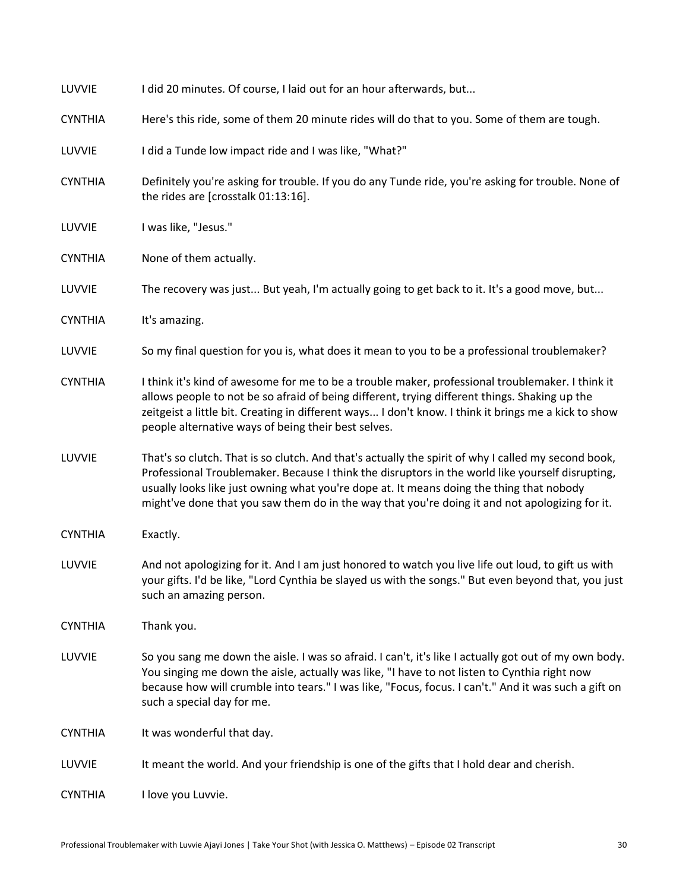| LUVVIE         | I did 20 minutes. Of course, I laid out for an hour afterwards, but                                                                                                                                                                                                                                                                                                                                   |  |
|----------------|-------------------------------------------------------------------------------------------------------------------------------------------------------------------------------------------------------------------------------------------------------------------------------------------------------------------------------------------------------------------------------------------------------|--|
| <b>CYNTHIA</b> | Here's this ride, some of them 20 minute rides will do that to you. Some of them are tough.                                                                                                                                                                                                                                                                                                           |  |
| LUVVIE         | I did a Tunde low impact ride and I was like, "What?"                                                                                                                                                                                                                                                                                                                                                 |  |
| <b>CYNTHIA</b> | Definitely you're asking for trouble. If you do any Tunde ride, you're asking for trouble. None of<br>the rides are [crosstalk 01:13:16].                                                                                                                                                                                                                                                             |  |
| LUVVIE         | I was like, "Jesus."                                                                                                                                                                                                                                                                                                                                                                                  |  |
| <b>CYNTHIA</b> | None of them actually.                                                                                                                                                                                                                                                                                                                                                                                |  |
| LUVVIE         | The recovery was just But yeah, I'm actually going to get back to it. It's a good move, but                                                                                                                                                                                                                                                                                                           |  |
| <b>CYNTHIA</b> | It's amazing.                                                                                                                                                                                                                                                                                                                                                                                         |  |
| LUVVIE         | So my final question for you is, what does it mean to you to be a professional troublemaker?                                                                                                                                                                                                                                                                                                          |  |
| <b>CYNTHIA</b> | I think it's kind of awesome for me to be a trouble maker, professional troublemaker. I think it<br>allows people to not be so afraid of being different, trying different things. Shaking up the<br>zeitgeist a little bit. Creating in different ways I don't know. I think it brings me a kick to show<br>people alternative ways of being their best selves.                                      |  |
| LUVVIE         | That's so clutch. That is so clutch. And that's actually the spirit of why I called my second book,<br>Professional Troublemaker. Because I think the disruptors in the world like yourself disrupting,<br>usually looks like just owning what you're dope at. It means doing the thing that nobody<br>might've done that you saw them do in the way that you're doing it and not apologizing for it. |  |
| <b>CYNTHIA</b> | Exactly.                                                                                                                                                                                                                                                                                                                                                                                              |  |
| LUVVIE         | And not apologizing for it. And I am just honored to watch you live life out loud, to gift us with<br>your gifts. I'd be like, "Lord Cynthia be slayed us with the songs." But even beyond that, you just<br>such an amazing person.                                                                                                                                                                  |  |
| <b>CYNTHIA</b> | Thank you.                                                                                                                                                                                                                                                                                                                                                                                            |  |
| LUVVIE         | So you sang me down the aisle. I was so afraid. I can't, it's like I actually got out of my own body.<br>You singing me down the aisle, actually was like, "I have to not listen to Cynthia right now<br>because how will crumble into tears." I was like, "Focus, focus. I can't." And it was such a gift on<br>such a special day for me.                                                           |  |
| <b>CYNTHIA</b> | It was wonderful that day.                                                                                                                                                                                                                                                                                                                                                                            |  |
| LUVVIE         | It meant the world. And your friendship is one of the gifts that I hold dear and cherish.                                                                                                                                                                                                                                                                                                             |  |
| <b>CYNTHIA</b> | I love you Luvvie.                                                                                                                                                                                                                                                                                                                                                                                    |  |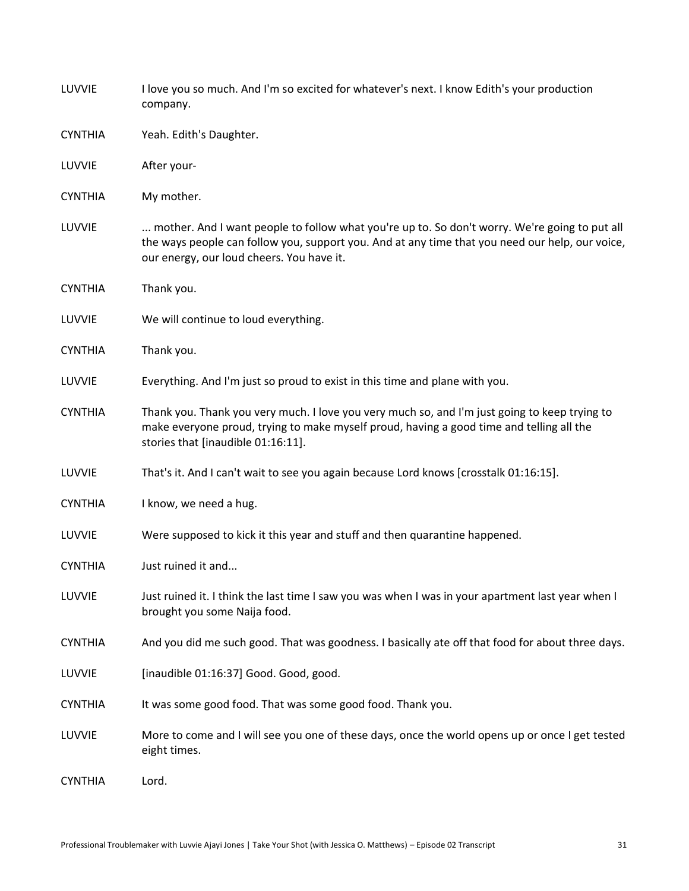| LUVVIE         | I love you so much. And I'm so excited for whatever's next. I know Edith's your production<br>company.                                                                                                                                        |  |
|----------------|-----------------------------------------------------------------------------------------------------------------------------------------------------------------------------------------------------------------------------------------------|--|
| <b>CYNTHIA</b> | Yeah. Edith's Daughter.                                                                                                                                                                                                                       |  |
| LUVVIE         | After your-                                                                                                                                                                                                                                   |  |
| <b>CYNTHIA</b> | My mother.                                                                                                                                                                                                                                    |  |
| LUVVIE         | mother. And I want people to follow what you're up to. So don't worry. We're going to put all<br>the ways people can follow you, support you. And at any time that you need our help, our voice,<br>our energy, our loud cheers. You have it. |  |
| <b>CYNTHIA</b> | Thank you.                                                                                                                                                                                                                                    |  |
| LUVVIE         | We will continue to loud everything.                                                                                                                                                                                                          |  |
| <b>CYNTHIA</b> | Thank you.                                                                                                                                                                                                                                    |  |
| LUVVIE         | Everything. And I'm just so proud to exist in this time and plane with you.                                                                                                                                                                   |  |
| <b>CYNTHIA</b> | Thank you. Thank you very much. I love you very much so, and I'm just going to keep trying to<br>make everyone proud, trying to make myself proud, having a good time and telling all the<br>stories that [inaudible 01:16:11].               |  |
| LUVVIE         | That's it. And I can't wait to see you again because Lord knows [crosstalk 01:16:15].                                                                                                                                                         |  |
| <b>CYNTHIA</b> | I know, we need a hug.                                                                                                                                                                                                                        |  |
| LUVVIE         | Were supposed to kick it this year and stuff and then quarantine happened.                                                                                                                                                                    |  |
| <b>CYNTHIA</b> | Just ruined it and                                                                                                                                                                                                                            |  |
| LUVVIE         | Just ruined it. I think the last time I saw you was when I was in your apartment last year when I<br>brought you some Naija food.                                                                                                             |  |
| <b>CYNTHIA</b> | And you did me such good. That was goodness. I basically ate off that food for about three days.                                                                                                                                              |  |
| LUVVIE         | [inaudible 01:16:37] Good. Good, good.                                                                                                                                                                                                        |  |
| <b>CYNTHIA</b> | It was some good food. That was some good food. Thank you.                                                                                                                                                                                    |  |
| LUVVIE         | More to come and I will see you one of these days, once the world opens up or once I get tested<br>eight times.                                                                                                                               |  |
| <b>CYNTHIA</b> | Lord.                                                                                                                                                                                                                                         |  |